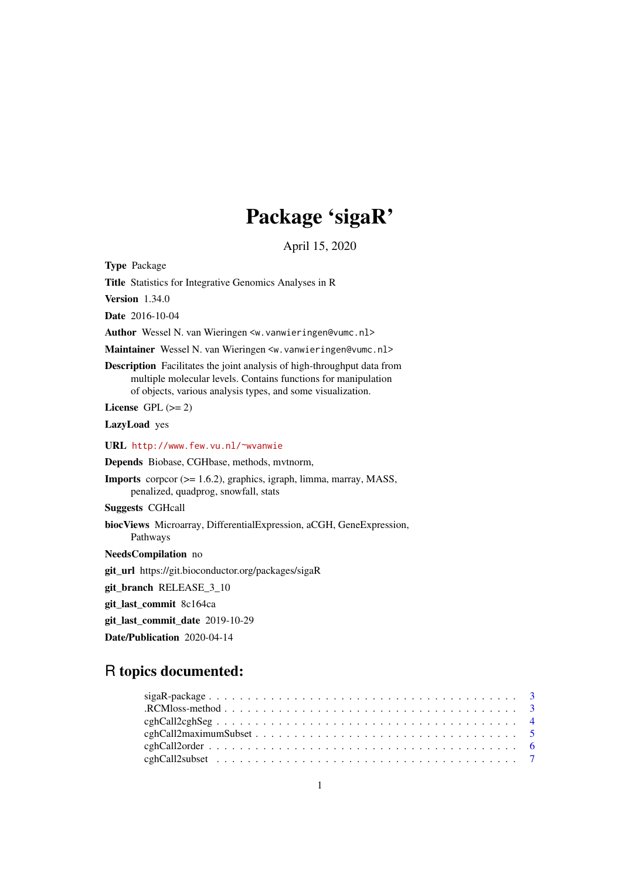## Package 'sigaR'

April 15, 2020

<span id="page-0-0"></span>Type Package

Title Statistics for Integrative Genomics Analyses in R

Version 1.34.0

Date 2016-10-04

Author Wessel N. van Wieringen <w.vanwieringen@vumc.nl>

Maintainer Wessel N. van Wieringen <w.vanwieringen@vumc.nl>

Description Facilitates the joint analysis of high-throughput data from multiple molecular levels. Contains functions for manipulation of objects, various analysis types, and some visualization.

License GPL  $(>= 2)$ 

LazyLoad yes

URL <http://www.few.vu.nl/~wvanwie>

Depends Biobase, CGHbase, methods, mvtnorm,

Imports corpcor (>= 1.6.2), graphics, igraph, limma, marray, MASS, penalized, quadprog, snowfall, stats

Suggests CGHcall

biocViews Microarray, DifferentialExpression, aCGH, GeneExpression, Pathways

NeedsCompilation no

git\_url https://git.bioconductor.org/packages/sigaR

git\_branch RELEASE\_3\_10

git\_last\_commit 8c164ca

git\_last\_commit\_date 2019-10-29

Date/Publication 2020-04-14

## R topics documented:

| $RCMloss-method \ldots \ldots \ldots \ldots \ldots \ldots \ldots \ldots \ldots \ldots \ldots \ldots \ldots 3$ |  |
|---------------------------------------------------------------------------------------------------------------|--|
| $cghCall2cghSeg \ldots \ldots \ldots \ldots \ldots \ldots \ldots \ldots \ldots \ldots \ldots \ldots \ldots$   |  |
|                                                                                                               |  |
|                                                                                                               |  |
|                                                                                                               |  |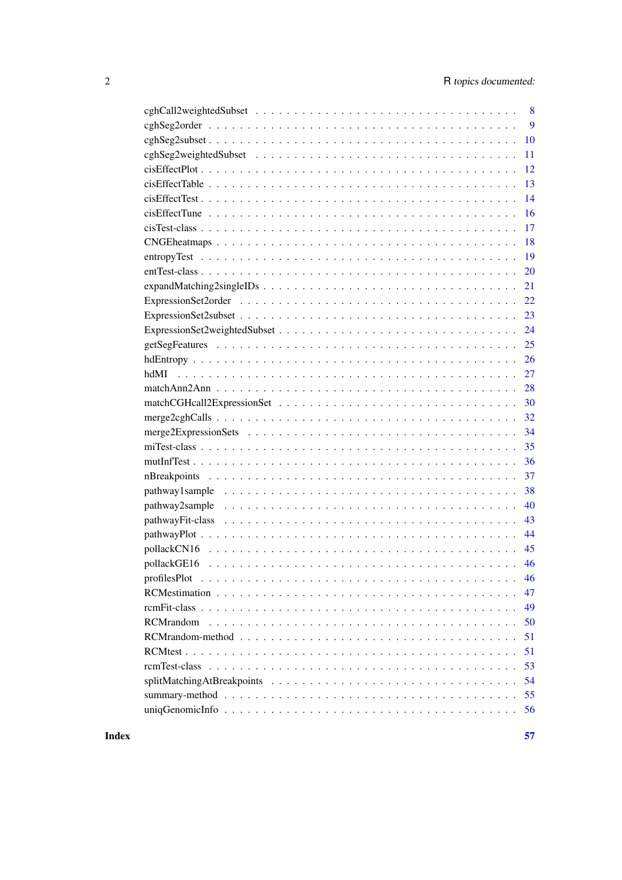| 8                                                                                                                       |
|-------------------------------------------------------------------------------------------------------------------------|
| 9                                                                                                                       |
| 10                                                                                                                      |
| 11                                                                                                                      |
| 12                                                                                                                      |
| 13                                                                                                                      |
| 14                                                                                                                      |
| 16                                                                                                                      |
| 17                                                                                                                      |
| 18                                                                                                                      |
| 19                                                                                                                      |
| 20                                                                                                                      |
| $expandMatching 2 single IDs \dots \dots \dots \dots \dots \dots \dots \dots \dots \dots \dots \dots \dots \dots$<br>21 |
| 22                                                                                                                      |
| 23                                                                                                                      |
| 24                                                                                                                      |
| 25                                                                                                                      |
| 26                                                                                                                      |
| 27<br>hdMI                                                                                                              |
| 28                                                                                                                      |
| 30                                                                                                                      |
| 32                                                                                                                      |
| 34                                                                                                                      |
| 35                                                                                                                      |
| 36                                                                                                                      |
| 37                                                                                                                      |
| 38                                                                                                                      |
| 40                                                                                                                      |
| 43                                                                                                                      |
| 44                                                                                                                      |
| 45                                                                                                                      |
| 46                                                                                                                      |
| profilesPlot<br>46                                                                                                      |
| 47                                                                                                                      |
| 49                                                                                                                      |
| 50<br><b>RCM</b> random                                                                                                 |
| 51                                                                                                                      |
| 51                                                                                                                      |
| 53                                                                                                                      |
| 54                                                                                                                      |
| 55                                                                                                                      |
| 56                                                                                                                      |

**Index** [57](#page-56-0)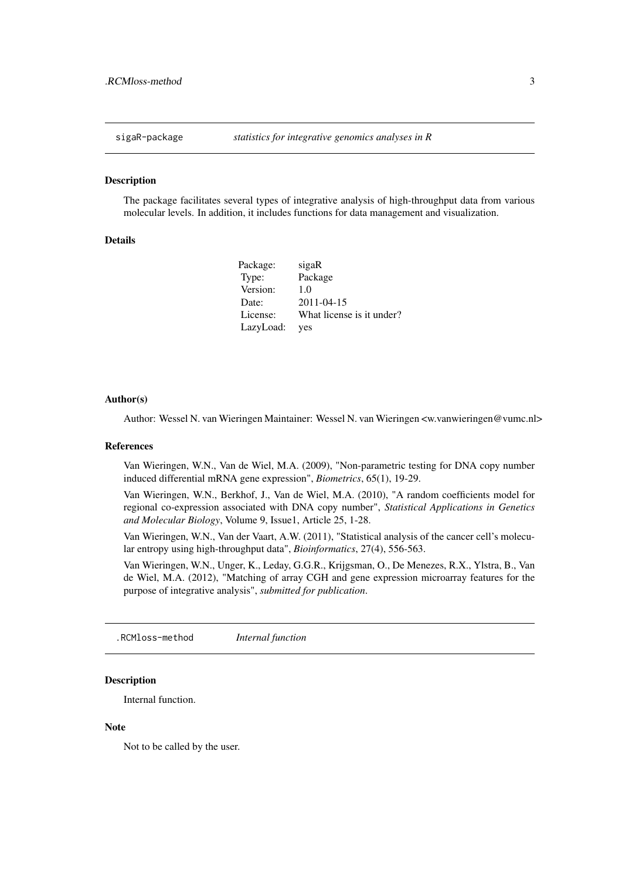<span id="page-2-0"></span>

#### Description

The package facilitates several types of integrative analysis of high-throughput data from various molecular levels. In addition, it includes functions for data management and visualization.

#### Details

| Package:  | sigaR                     |
|-----------|---------------------------|
| Type:     | Package                   |
| Version:  | 1.0                       |
| Date:     | $2011 - 04 - 15$          |
| License:  | What license is it under? |
| LazyLoad: | yes                       |

#### Author(s)

Author: Wessel N. van Wieringen Maintainer: Wessel N. van Wieringen <w.vanwieringen@vumc.nl>

## References

Van Wieringen, W.N., Van de Wiel, M.A. (2009), "Non-parametric testing for DNA copy number induced differential mRNA gene expression", *Biometrics*, 65(1), 19-29.

Van Wieringen, W.N., Berkhof, J., Van de Wiel, M.A. (2010), "A random coefficients model for regional co-expression associated with DNA copy number", *Statistical Applications in Genetics and Molecular Biology*, Volume 9, Issue1, Article 25, 1-28.

Van Wieringen, W.N., Van der Vaart, A.W. (2011), "Statistical analysis of the cancer cell's molecular entropy using high-throughput data", *Bioinformatics*, 27(4), 556-563.

Van Wieringen, W.N., Unger, K., Leday, G.G.R., Krijgsman, O., De Menezes, R.X., Ylstra, B., Van de Wiel, M.A. (2012), "Matching of array CGH and gene expression microarray features for the purpose of integrative analysis", *submitted for publication*.

.RCMloss-method *Internal function*

#### Description

Internal function.

## Note

Not to be called by the user.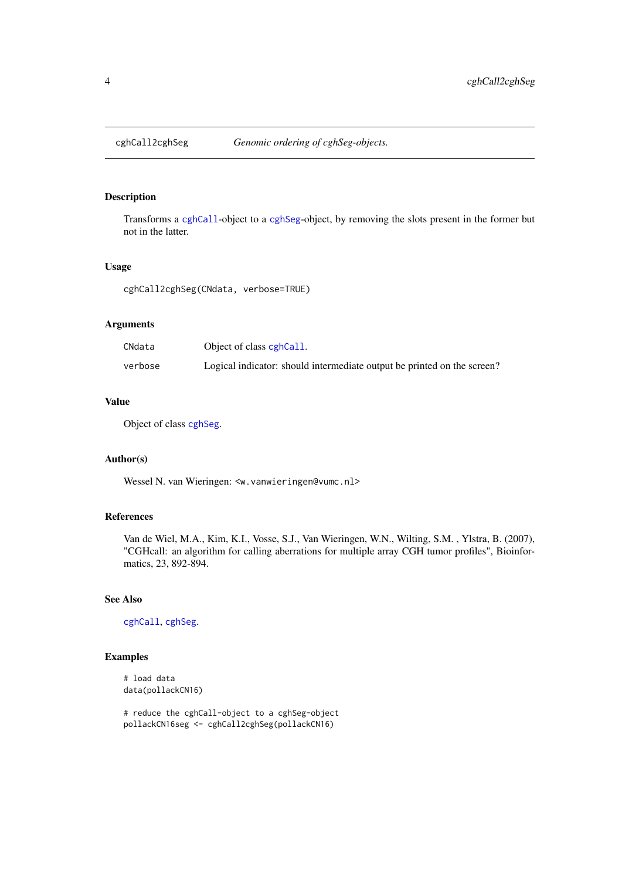<span id="page-3-0"></span>

## Description

Transforms a [cghCall](#page-0-0)-object to a [cghSeg](#page-0-0)-object, by removing the slots present in the former but not in the latter.

## Usage

cghCall2cghSeg(CNdata, verbose=TRUE)

## Arguments

| CNdata  | Object of class cghCall.                                                |
|---------|-------------------------------------------------------------------------|
| verbose | Logical indicator: should intermediate output be printed on the screen? |

#### Value

Object of class [cghSeg](#page-0-0).

#### Author(s)

Wessel N. van Wieringen: <w.vanwieringen@vumc.nl>

## References

Van de Wiel, M.A., Kim, K.I., Vosse, S.J., Van Wieringen, W.N., Wilting, S.M. , Ylstra, B. (2007), "CGHcall: an algorithm for calling aberrations for multiple array CGH tumor profiles", Bioinformatics, 23, 892-894.

## See Also

[cghCall](#page-0-0), [cghSeg](#page-0-0).

## Examples

# load data data(pollackCN16)

# reduce the cghCall-object to a cghSeg-object pollackCN16seg <- cghCall2cghSeg(pollackCN16)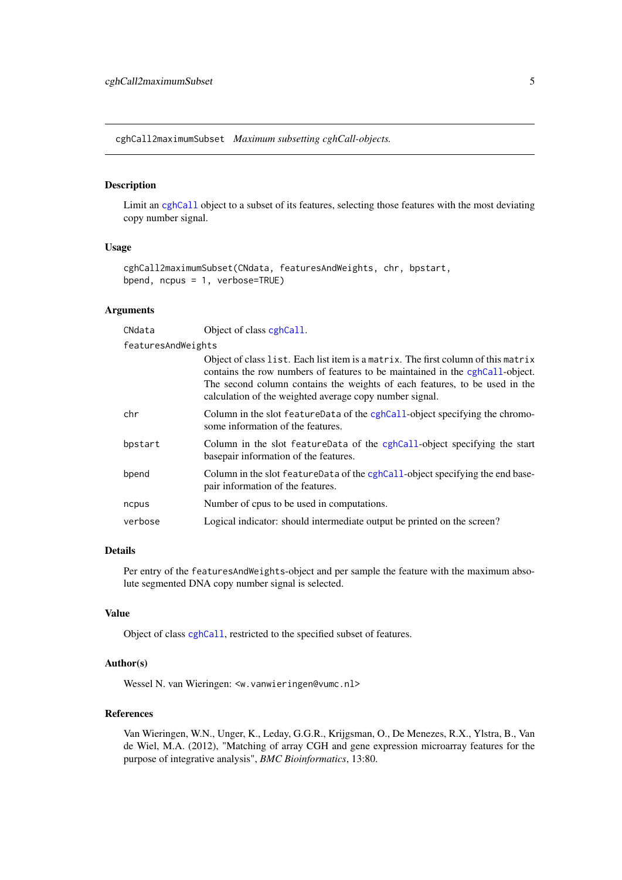<span id="page-4-0"></span>cghCall2maximumSubset *Maximum subsetting cghCall-objects.*

#### Description

Limit an [cghCall](#page-0-0) object to a subset of its features, selecting those features with the most deviating copy number signal.

## Usage

```
cghCall2maximumSubset(CNdata, featuresAndWeights, chr, bpstart,
bpend, ncpus = 1, verbose=TRUE)
```
#### Arguments

CNdata Object of class [cghCall](#page-0-0).

| featuresAndWeights |                                                                                                                                                                                                                                                                                                            |
|--------------------|------------------------------------------------------------------------------------------------------------------------------------------------------------------------------------------------------------------------------------------------------------------------------------------------------------|
|                    | Object of class list. Each list item is a matrix. The first column of this matrix<br>contains the row numbers of features to be maintained in the cghCall-object.<br>The second column contains the weights of each features, to be used in the<br>calculation of the weighted average copy number signal. |
| chr                | Column in the slot feature Data of the cghCall-object specifying the chromo-<br>some information of the features.                                                                                                                                                                                          |
| bpstart            | Column in the slot featureData of the cghCall-object specifying the start<br>basepair information of the features.                                                                                                                                                                                         |
| bpend              | Column in the slot feature Data of the cghCall-object specifying the end base-<br>pair information of the features.                                                                                                                                                                                        |
| ncpus              | Number of cpus to be used in computations.                                                                                                                                                                                                                                                                 |
| verbose            | Logical indicator: should intermediate output be printed on the screen?                                                                                                                                                                                                                                    |

## Details

Per entry of the featuresAndWeights-object and per sample the feature with the maximum absolute segmented DNA copy number signal is selected.

## Value

Object of class [cghCall](#page-0-0), restricted to the specified subset of features.

## Author(s)

Wessel N. van Wieringen: <w. vanwieringen@vumc.nl>

## References

Van Wieringen, W.N., Unger, K., Leday, G.G.R., Krijgsman, O., De Menezes, R.X., Ylstra, B., Van de Wiel, M.A. (2012), "Matching of array CGH and gene expression microarray features for the purpose of integrative analysis", *BMC Bioinformatics*, 13:80.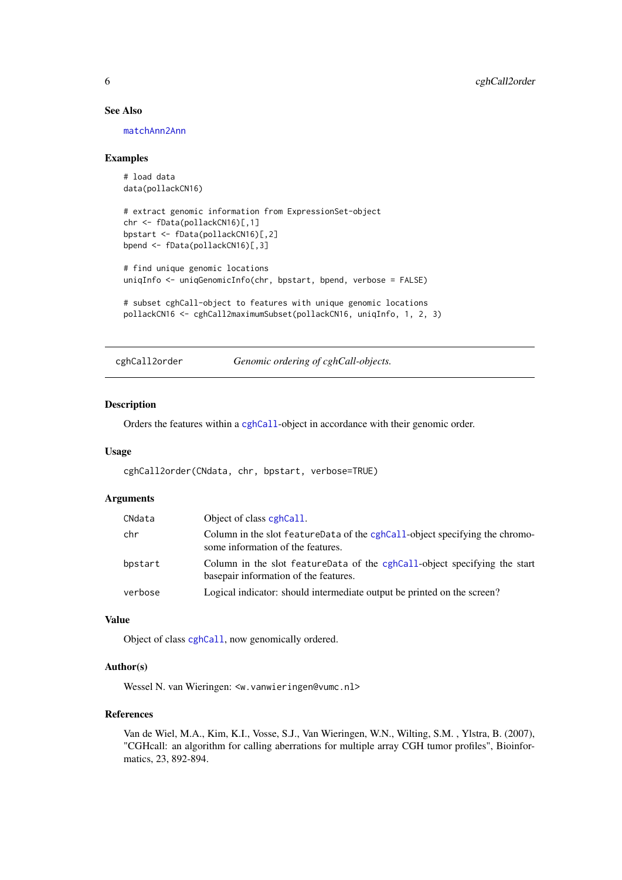## See Also

[matchAnn2Ann](#page-27-1)

#### Examples

```
# load data
data(pollackCN16)
# extract genomic information from ExpressionSet-object
chr <- fData(pollackCN16)[,1]
bpstart <- fData(pollackCN16)[,2]
bpend <- fData(pollackCN16)[,3]
# find unique genomic locations
uniqInfo <- uniqGenomicInfo(chr, bpstart, bpend, verbose = FALSE)
# subset cghCall-object to features with unique genomic locations
pollackCN16 <- cghCall2maximumSubset(pollackCN16, uniqInfo, 1, 2, 3)
```
cghCall2order *Genomic ordering of cghCall-objects.*

#### Description

Orders the features within a [cghCall](#page-0-0)-object in accordance with their genomic order.

## Usage

```
cghCall2order(CNdata, chr, bpstart, verbose=TRUE)
```
## Arguments

| CNdata  | Object of class cghCall.                                                                                            |
|---------|---------------------------------------------------------------------------------------------------------------------|
| chr     | Column in the slot feature Data of the cghCall-object specifying the chromo-<br>some information of the features.   |
| bpstart | Column in the slot feature Data of the cghCall-object specifying the start<br>basepair information of the features. |
| verbose | Logical indicator: should intermediate output be printed on the screen?                                             |

#### Value

Object of class [cghCall](#page-0-0), now genomically ordered.

## Author(s)

Wessel N. van Wieringen: <w.vanwieringen@vumc.nl>

## References

Van de Wiel, M.A., Kim, K.I., Vosse, S.J., Van Wieringen, W.N., Wilting, S.M. , Ylstra, B. (2007), "CGHcall: an algorithm for calling aberrations for multiple array CGH tumor profiles", Bioinformatics, 23, 892-894.

<span id="page-5-0"></span>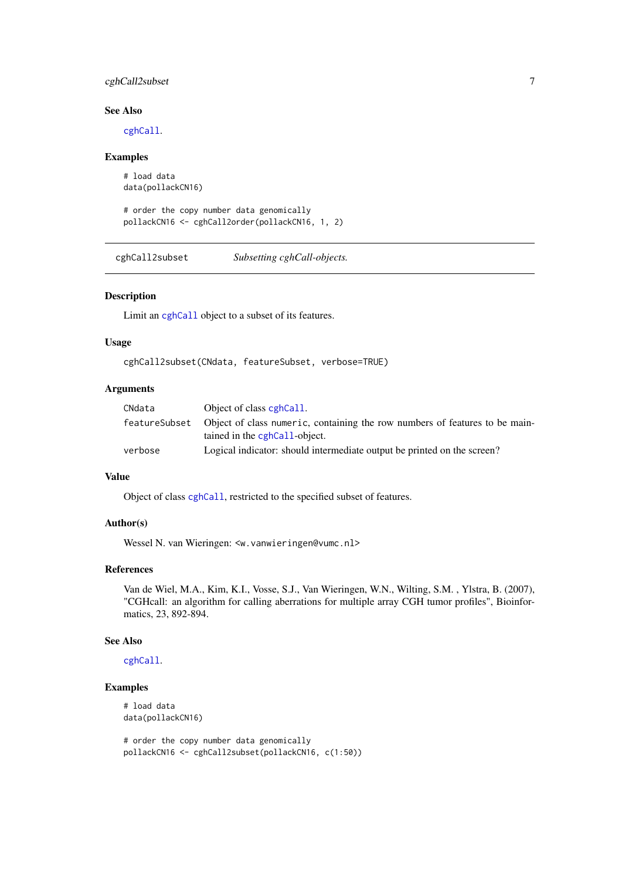## <span id="page-6-0"></span>cghCall2subset 7

#### See Also

[cghCall](#page-0-0).

## Examples

```
# load data
data(pollackCN16)
```

```
# order the copy number data genomically
pollackCN16 <- cghCall2order(pollackCN16, 1, 2)
```
cghCall2subset *Subsetting cghCall-objects.*

## Description

Limit an [cghCall](#page-0-0) object to a subset of its features.

#### Usage

cghCall2subset(CNdata, featureSubset, verbose=TRUE)

## Arguments

| CNdata  | Object of class cghCall.                                                                                                    |
|---------|-----------------------------------------------------------------------------------------------------------------------------|
|         | feature Subset Object of class numeric, containing the row numbers of features to be main-<br>tained in the cghCall-object. |
| verbose | Logical indicator: should intermediate output be printed on the screen?                                                     |

## Value

Object of class [cghCall](#page-0-0), restricted to the specified subset of features.

## Author(s)

Wessel N. van Wieringen: <w. vanwieringen@vumc.nl>

## References

Van de Wiel, M.A., Kim, K.I., Vosse, S.J., Van Wieringen, W.N., Wilting, S.M. , Ylstra, B. (2007), "CGHcall: an algorithm for calling aberrations for multiple array CGH tumor profiles", Bioinformatics, 23, 892-894.

## See Also

[cghCall](#page-0-0).

## Examples

# load data data(pollackCN16)

# order the copy number data genomically pollackCN16 <- cghCall2subset(pollackCN16, c(1:50))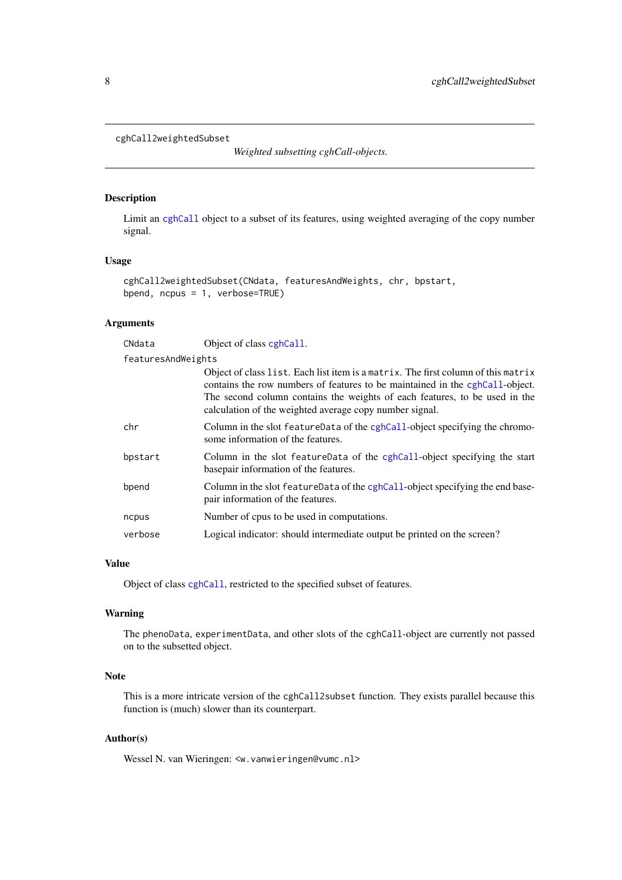```
cghCall2weightedSubset
```
*Weighted subsetting cghCall-objects.*

## Description

Limit an [cghCall](#page-0-0) object to a subset of its features, using weighted averaging of the copy number signal.

## Usage

```
cghCall2weightedSubset(CNdata, featuresAndWeights, chr, bpstart,
bpend, ncpus = 1, verbose=TRUE)
```
## Arguments

| CNdata             | Object of class cghCall.                                                                                                                                                                                                                                                                                   |  |
|--------------------|------------------------------------------------------------------------------------------------------------------------------------------------------------------------------------------------------------------------------------------------------------------------------------------------------------|--|
| featuresAndWeights |                                                                                                                                                                                                                                                                                                            |  |
|                    | Object of class list. Each list item is a matrix. The first column of this matrix<br>contains the row numbers of features to be maintained in the cghCall-object.<br>The second column contains the weights of each features, to be used in the<br>calculation of the weighted average copy number signal. |  |
| chr                | Column in the slot featureData of the cghCall-object specifying the chromo-<br>some information of the features.                                                                                                                                                                                           |  |
| bpstart            | Column in the slot featureData of the cghCall-object specifying the start<br>basepair information of the features.                                                                                                                                                                                         |  |
| bpend              | Column in the slot feature Data of the cghCall-object specifying the end base-<br>pair information of the features.                                                                                                                                                                                        |  |
| ncpus              | Number of cpus to be used in computations.                                                                                                                                                                                                                                                                 |  |
| verbose            | Logical indicator: should intermediate output be printed on the screen?                                                                                                                                                                                                                                    |  |

## Value

Object of class [cghCall](#page-0-0), restricted to the specified subset of features.

## Warning

The phenoData, experimentData, and other slots of the cghCall-object are currently not passed on to the subsetted object.

## Note

This is a more intricate version of the cghCall2subset function. They exists parallel because this function is (much) slower than its counterpart.

## Author(s)

Wessel N. van Wieringen: <w.vanwieringen@vumc.nl>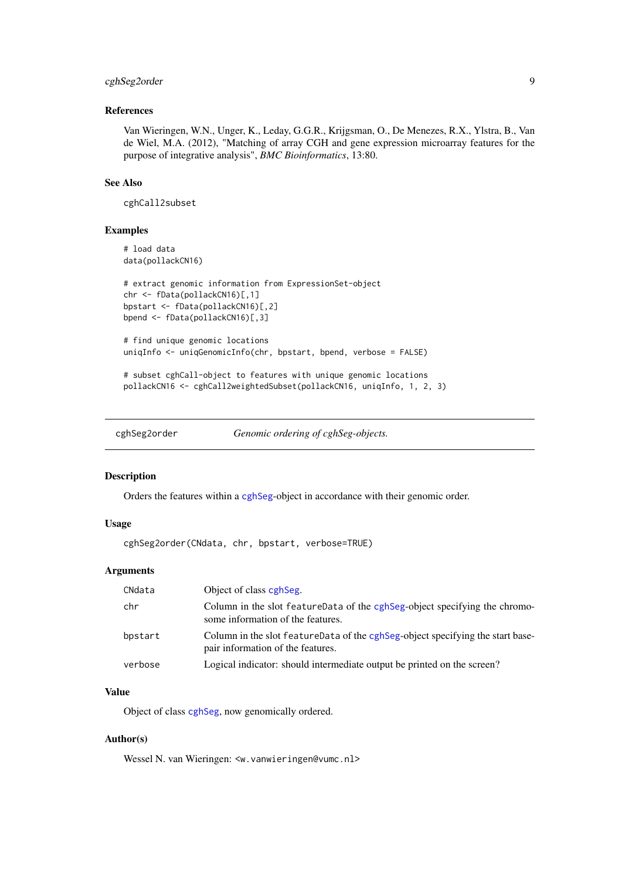#### <span id="page-8-0"></span>cghSeg2order 9

#### References

Van Wieringen, W.N., Unger, K., Leday, G.G.R., Krijgsman, O., De Menezes, R.X., Ylstra, B., Van de Wiel, M.A. (2012), "Matching of array CGH and gene expression microarray features for the purpose of integrative analysis", *BMC Bioinformatics*, 13:80.

## See Also

cghCall2subset

## Examples

```
# load data
data(pollackCN16)
# extract genomic information from ExpressionSet-object
chr <- fData(pollackCN16)[,1]
bpstart <- fData(pollackCN16)[,2]
bpend <- fData(pollackCN16)[,3]
# find unique genomic locations
uniqInfo <- uniqGenomicInfo(chr, bpstart, bpend, verbose = FALSE)
# subset cghCall-object to features with unique genomic locations
pollackCN16 <- cghCall2weightedSubset(pollackCN16, uniqInfo, 1, 2, 3)
```
cghSeg2order *Genomic ordering of cghSeg-objects.*

#### Description

Orders the features within a [cghSeg](#page-0-0)-object in accordance with their genomic order.

## Usage

```
cghSeg2order(CNdata, chr, bpstart, verbose=TRUE)
```
#### Arguments

| CNdata  | Object of class cghSeg.                                                                                              |
|---------|----------------------------------------------------------------------------------------------------------------------|
| chr     | Column in the slot feature Data of the cghSeg-object specifying the chromo-<br>some information of the features.     |
| bpstart | Column in the slot feature Data of the cghSeg-object specifying the start base-<br>pair information of the features. |
| verbose | Logical indicator: should intermediate output be printed on the screen?                                              |

## Value

Object of class [cghSeg](#page-0-0), now genomically ordered.

## Author(s)

Wessel N. van Wieringen: <w. vanwieringen@vumc.nl>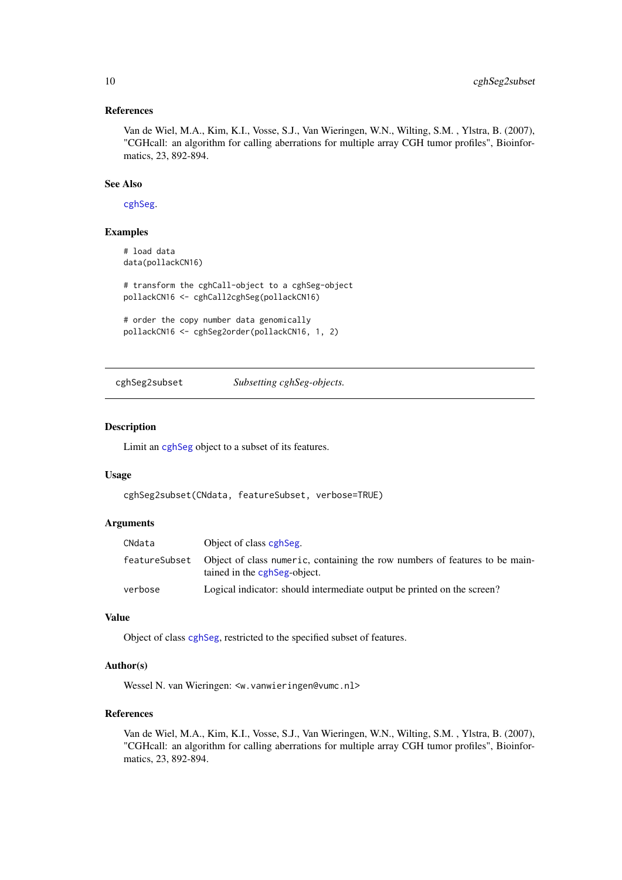#### References

Van de Wiel, M.A., Kim, K.I., Vosse, S.J., Van Wieringen, W.N., Wilting, S.M. , Ylstra, B. (2007), "CGHcall: an algorithm for calling aberrations for multiple array CGH tumor profiles", Bioinformatics, 23, 892-894.

#### See Also

[cghSeg](#page-0-0).

#### Examples

```
# load data
data(pollackCN16)
# transform the cghCall-object to a cghSeg-object
pollackCN16 <- cghCall2cghSeg(pollackCN16)
# order the copy number data genomically
pollackCN16 <- cghSeg2order(pollackCN16, 1, 2)
```
cghSeg2subset *Subsetting cghSeg-objects.*

#### Description

Limit an [cghSeg](#page-0-0) object to a subset of its features.

## Usage

cghSeg2subset(CNdata, featureSubset, verbose=TRUE)

## Arguments

| CNdata  | Object of class cghSeg.                                                                                                    |
|---------|----------------------------------------------------------------------------------------------------------------------------|
|         | feature Subset Object of class numeric, containing the row numbers of features to be main-<br>tained in the cghSeg-object. |
| verbose | Logical indicator: should intermediate output be printed on the screen?                                                    |

#### Value

Object of class [cghSeg](#page-0-0), restricted to the specified subset of features.

## Author(s)

Wessel N. van Wieringen: <w.vanwieringen@vumc.nl>

## References

Van de Wiel, M.A., Kim, K.I., Vosse, S.J., Van Wieringen, W.N., Wilting, S.M. , Ylstra, B. (2007), "CGHcall: an algorithm for calling aberrations for multiple array CGH tumor profiles", Bioinformatics, 23, 892-894.

<span id="page-9-0"></span>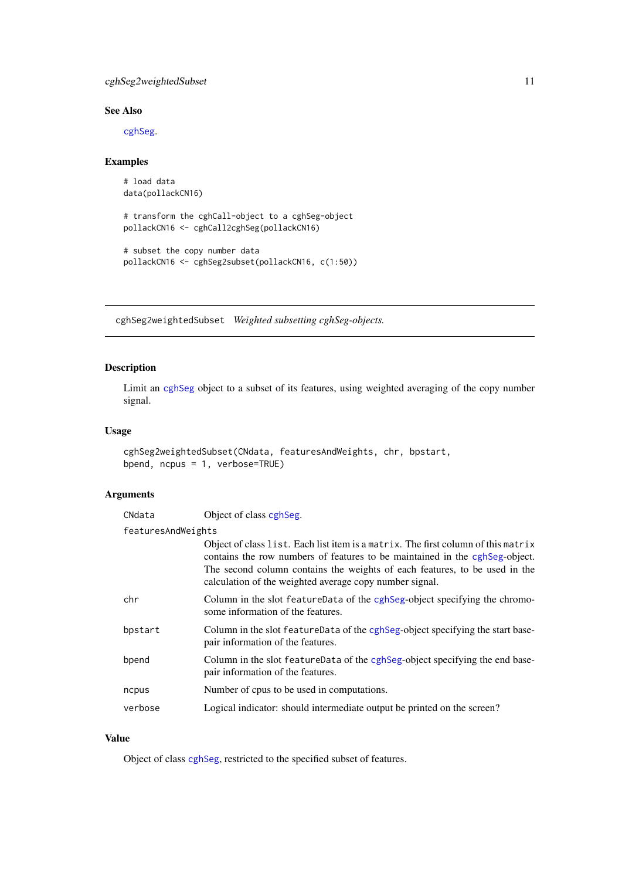#### <span id="page-10-0"></span>cghSeg2weightedSubset 11

## See Also

[cghSeg](#page-0-0).

## Examples

```
# load data
data(pollackCN16)
# transform the cghCall-object to a cghSeg-object
pollackCN16 <- cghCall2cghSeg(pollackCN16)
# subset the copy number data
pollackCN16 <- cghSeg2subset(pollackCN16, c(1:50))
```
cghSeg2weightedSubset *Weighted subsetting cghSeg-objects.*

## Description

Limit an [cghSeg](#page-0-0) object to a subset of its features, using weighted averaging of the copy number signal.

## Usage

```
cghSeg2weightedSubset(CNdata, featuresAndWeights, chr, bpstart,
bpend, ncpus = 1, verbose=TRUE)
```
#### Arguments

| CNdata             | Object of class cghSeg.                                                                                                                                                                                                                                                                                   |
|--------------------|-----------------------------------------------------------------------------------------------------------------------------------------------------------------------------------------------------------------------------------------------------------------------------------------------------------|
| featuresAndWeights |                                                                                                                                                                                                                                                                                                           |
|                    | Object of class list. Each list item is a matrix. The first column of this matrix<br>contains the row numbers of features to be maintained in the cghSeg-object.<br>The second column contains the weights of each features, to be used in the<br>calculation of the weighted average copy number signal. |
| chr                | Column in the slot featureData of the cghSeg-object specifying the chromo-<br>some information of the features.                                                                                                                                                                                           |
| bpstart            | Column in the slot featureData of the cghSeg-object specifying the start base-<br>pair information of the features.                                                                                                                                                                                       |
| bpend              | Column in the slot featureData of the cghSeg-object specifying the end base-<br>pair information of the features.                                                                                                                                                                                         |
| ncpus              | Number of cpus to be used in computations.                                                                                                                                                                                                                                                                |
| verbose            | Logical indicator: should intermediate output be printed on the screen?                                                                                                                                                                                                                                   |
|                    |                                                                                                                                                                                                                                                                                                           |

## Value

Object of class [cghSeg](#page-0-0), restricted to the specified subset of features.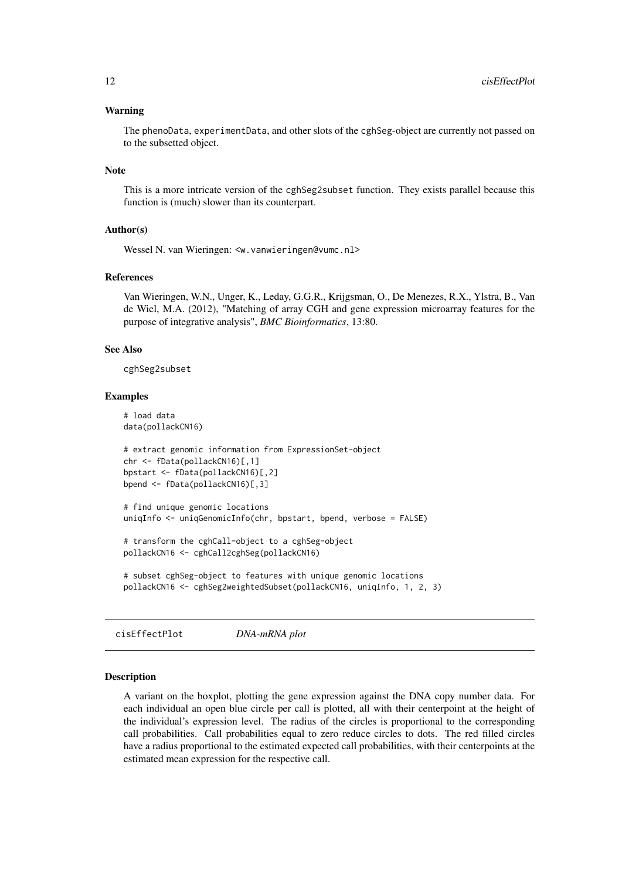#### <span id="page-11-0"></span>Warning

The phenoData, experimentData, and other slots of the cghSeg-object are currently not passed on to the subsetted object.

## Note

This is a more intricate version of the cghSeg2subset function. They exists parallel because this function is (much) slower than its counterpart.

## Author(s)

Wessel N. van Wieringen: <w. vanwieringen@vumc.nl>

## References

Van Wieringen, W.N., Unger, K., Leday, G.G.R., Krijgsman, O., De Menezes, R.X., Ylstra, B., Van de Wiel, M.A. (2012), "Matching of array CGH and gene expression microarray features for the purpose of integrative analysis", *BMC Bioinformatics*, 13:80.

## See Also

cghSeg2subset

#### Examples

```
# load data
data(pollackCN16)
# extract genomic information from ExpressionSet-object
chr <- fData(pollackCN16)[,1]
bpstart <- fData(pollackCN16)[,2]
bpend <- fData(pollackCN16)[,3]
# find unique genomic locations
uniqInfo <- uniqGenomicInfo(chr, bpstart, bpend, verbose = FALSE)
```

```
# transform the cghCall-object to a cghSeg-object
pollackCN16 <- cghCall2cghSeg(pollackCN16)
```

```
# subset cghSeg-object to features with unique genomic locations
pollackCN16 <- cghSeg2weightedSubset(pollackCN16, uniqInfo, 1, 2, 3)
```
cisEffectPlot *DNA-mRNA plot*

#### Description

A variant on the boxplot, plotting the gene expression against the DNA copy number data. For each individual an open blue circle per call is plotted, all with their centerpoint at the height of the individual's expression level. The radius of the circles is proportional to the corresponding call probabilities. Call probabilities equal to zero reduce circles to dots. The red filled circles have a radius proportional to the estimated expected call probabilities, with their centerpoints at the estimated mean expression for the respective call.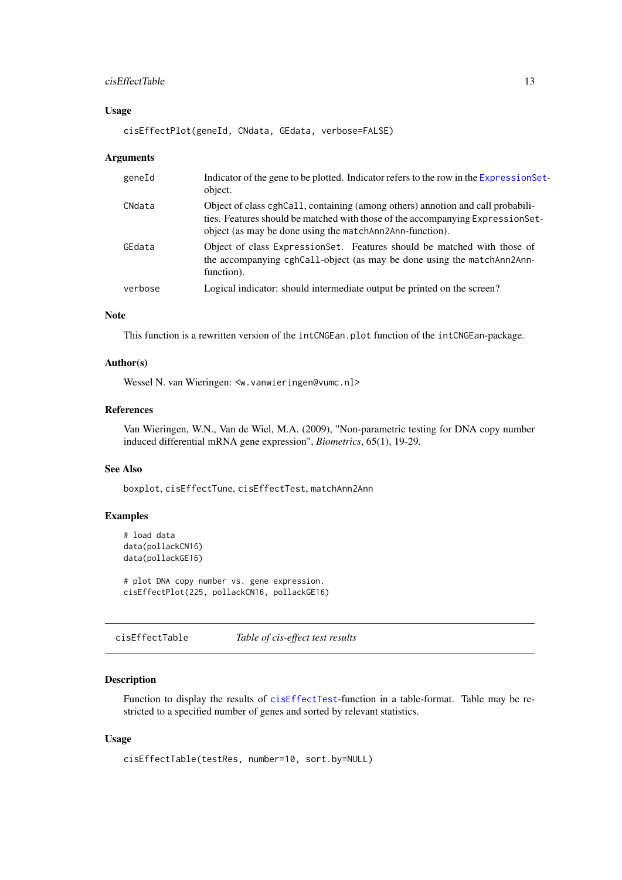#### <span id="page-12-0"></span>cisEffectTable 13

#### Usage

cisEffectPlot(geneId, CNdata, GEdata, verbose=FALSE)

#### Arguments

| geneId  | Indicator of the gene to be plotted. Indicator refers to the row in the Expression Set-<br>object.                                                                                                                            |
|---------|-------------------------------------------------------------------------------------------------------------------------------------------------------------------------------------------------------------------------------|
| CNdata  | Object of class cghCall, containing (among others) annotion and call probabili-<br>ties. Features should be matched with those of the accompanying ExpressionSet-<br>object (as may be done using the matchAnn2Ann-function). |
| GEdata  | Object of class Expression Set. Features should be matched with those of<br>the accompanying cghCall-object (as may be done using the matchAnn2Ann-<br>function).                                                             |
| verbose | Logical indicator: should intermediate output be printed on the screen?                                                                                                                                                       |

## Note

This function is a rewritten version of the intCNGEan.plot function of the intCNGEan-package.

## Author(s)

Wessel N. van Wieringen: <w.vanwieringen@vumc.nl>

## References

Van Wieringen, W.N., Van de Wiel, M.A. (2009), "Non-parametric testing for DNA copy number induced differential mRNA gene expression", *Biometrics*, 65(1), 19-29.

#### See Also

boxplot, cisEffectTune, cisEffectTest, matchAnn2Ann

#### Examples

```
# load data
data(pollackCN16)
data(pollackGE16)
```
# plot DNA copy number vs. gene expression. cisEffectPlot(225, pollackCN16, pollackGE16)

cisEffectTable *Table of cis-effect test results*

## Description

Function to display the results of [cisEffectTest](#page-13-1)-function in a table-format. Table may be restricted to a specified number of genes and sorted by relevant statistics.

```
cisEffectTable(testRes, number=10, sort.by=NULL)
```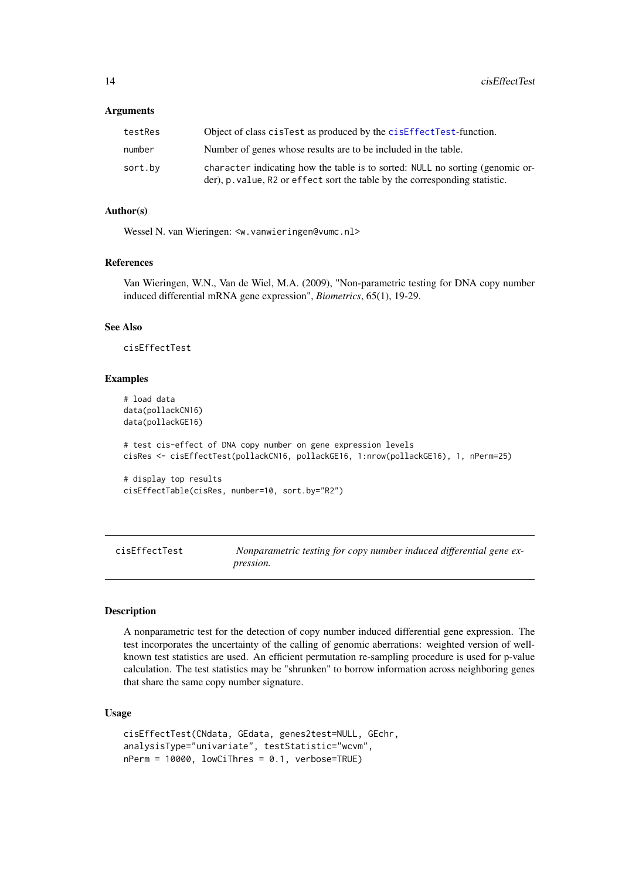## <span id="page-13-0"></span>Arguments

| testRes | Object of class cistest as produced by the cise of economic function.                                                                                        |
|---------|--------------------------------------------------------------------------------------------------------------------------------------------------------------|
| number  | Number of genes whose results are to be included in the table.                                                                                               |
| sort.by | character indicating how the table is to sorted: NULL no sorting (genomic or-<br>der), p. value, R2 or effect sort the table by the corresponding statistic. |

## Author(s)

Wessel N. van Wieringen: <w.vanwieringen@vumc.nl>

#### References

Van Wieringen, W.N., Van de Wiel, M.A. (2009), "Non-parametric testing for DNA copy number induced differential mRNA gene expression", *Biometrics*, 65(1), 19-29.

## See Also

cisEffectTest

## Examples

```
# load data
data(pollackCN16)
data(pollackGE16)
# test cis-effect of DNA copy number on gene expression levels
cisRes <- cisEffectTest(pollackCN16, pollackGE16, 1:nrow(pollackGE16), 1, nPerm=25)
# display top results
cisEffectTable(cisRes, number=10, sort.by="R2")
```
<span id="page-13-1"></span>cisEffectTest *Nonparametric testing for copy number induced differential gene expression.*

## Description

A nonparametric test for the detection of copy number induced differential gene expression. The test incorporates the uncertainty of the calling of genomic aberrations: weighted version of wellknown test statistics are used. An efficient permutation re-sampling procedure is used for p-value calculation. The test statistics may be "shrunken" to borrow information across neighboring genes that share the same copy number signature.

```
cisEffectTest(CNdata, GEdata, genes2test=NULL, GEchr,
analysisType="univariate", testStatistic="wcvm",
nPerm = 10000, lowCiThres = 0.1, verbose=TRUE)
```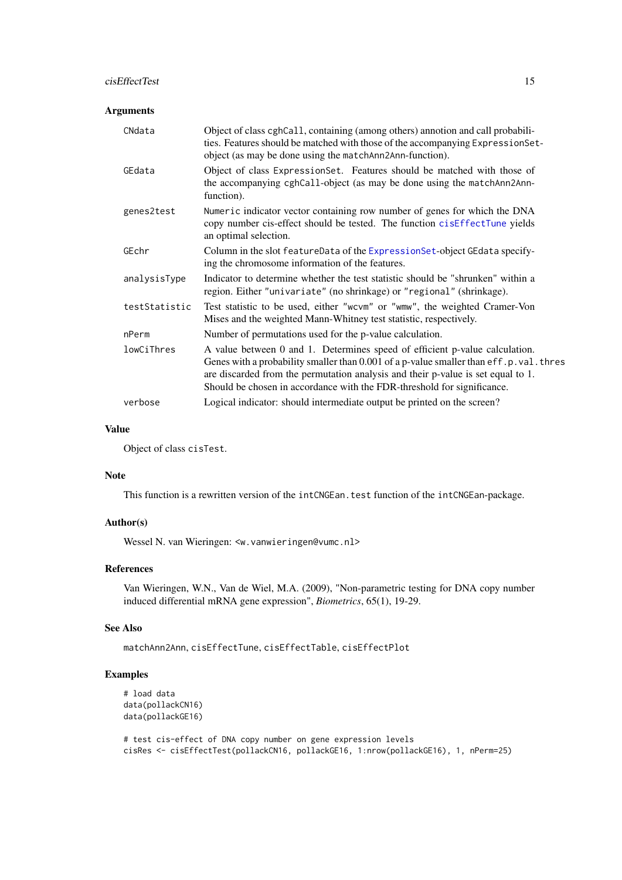#### <span id="page-14-0"></span>cisEffectTest 15

## Arguments

| CNdata        | Object of class cghCall, containing (among others) annotion and call probabili-<br>ties. Features should be matched with those of the accompanying ExpressionSet-<br>object (as may be done using the matchAnn2Ann-function).                                                                                                          |
|---------------|----------------------------------------------------------------------------------------------------------------------------------------------------------------------------------------------------------------------------------------------------------------------------------------------------------------------------------------|
| GEdata        | Object of class ExpressionSet. Features should be matched with those of<br>the accompanying cghCall-object (as may be done using the matchAnn2Ann-<br>function).                                                                                                                                                                       |
| genes2test    | Numeric indicator vector containing row number of genes for which the DNA<br>copy number cis-effect should be tested. The function cisEffectTune yields<br>an optimal selection.                                                                                                                                                       |
| GEchr         | Column in the slot featureData of the ExpressionSet-object GEdata specify-<br>ing the chromosome information of the features.                                                                                                                                                                                                          |
| analysisType  | Indicator to determine whether the test statistic should be "shrunken" within a<br>region. Either "univariate" (no shrinkage) or "regional" (shrinkage).                                                                                                                                                                               |
| testStatistic | Test statistic to be used, either "wcvm" or "wmw", the weighted Cramer-Von<br>Mises and the weighted Mann-Whitney test statistic, respectively.                                                                                                                                                                                        |
| nPerm         | Number of permutations used for the p-value calculation.                                                                                                                                                                                                                                                                               |
| lowCiThres    | A value between 0 and 1. Determines speed of efficient p-value calculation.<br>Genes with a probability smaller than 0.001 of a p-value smaller than eff. p. val. thres<br>are discarded from the permutation analysis and their p-value is set equal to 1.<br>Should be chosen in accordance with the FDR-threshold for significance. |
| verbose       | Logical indicator: should intermediate output be printed on the screen?                                                                                                                                                                                                                                                                |

## Value

Object of class cisTest.

#### Note

This function is a rewritten version of the intCNGEan.test function of the intCNGEan-package.

## Author(s)

Wessel N. van Wieringen: <w. vanwieringen@vumc.nl>

## References

Van Wieringen, W.N., Van de Wiel, M.A. (2009), "Non-parametric testing for DNA copy number induced differential mRNA gene expression", *Biometrics*, 65(1), 19-29.

## See Also

matchAnn2Ann, cisEffectTune, cisEffectTable, cisEffectPlot

## Examples

```
# load data
data(pollackCN16)
data(pollackGE16)
```

```
# test cis-effect of DNA copy number on gene expression levels
cisRes <- cisEffectTest(pollackCN16, pollackGE16, 1:nrow(pollackGE16), 1, nPerm=25)
```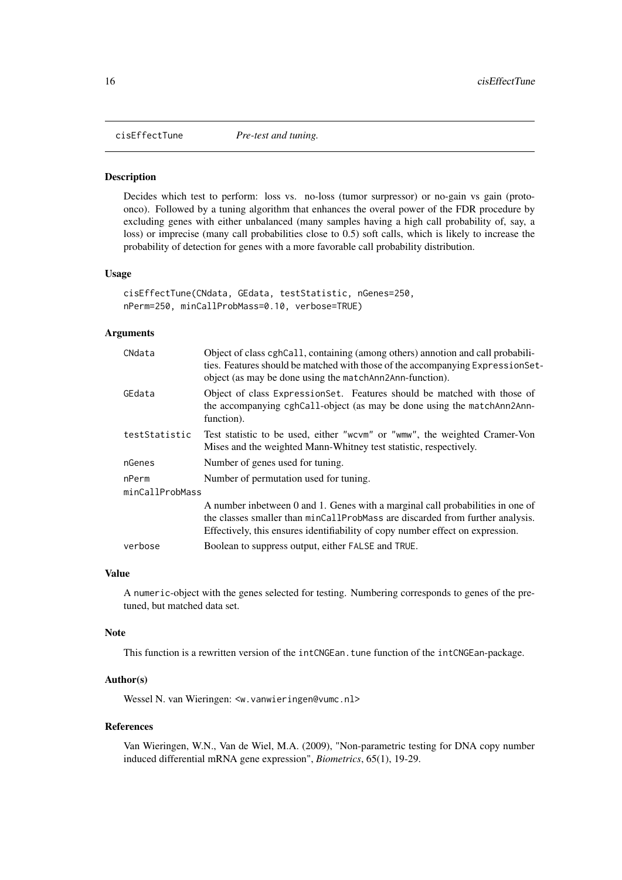<span id="page-15-1"></span><span id="page-15-0"></span>

## Description

Decides which test to perform: loss vs. no-loss (tumor surpressor) or no-gain vs gain (protoonco). Followed by a tuning algorithm that enhances the overal power of the FDR procedure by excluding genes with either unbalanced (many samples having a high call probability of, say, a loss) or imprecise (many call probabilities close to 0.5) soft calls, which is likely to increase the probability of detection for genes with a more favorable call probability distribution.

## Usage

```
cisEffectTune(CNdata, GEdata, testStatistic, nGenes=250,
nPerm=250, minCallProbMass=0.10, verbose=TRUE)
```
#### Arguments

| CNdata          | Object of class cghCall, containing (among others) annotion and call probabili-<br>ties. Features should be matched with those of the accompanying ExpressionSet-<br>object (as may be done using the matchAnn2Ann-function).                     |  |
|-----------------|---------------------------------------------------------------------------------------------------------------------------------------------------------------------------------------------------------------------------------------------------|--|
| GEdata          | Object of class Expression Set. Features should be matched with those of<br>the accompanying cghCall-object (as may be done using the matchAnn2Ann-<br>function).                                                                                 |  |
| testStatistic   | Test statistic to be used, either "worm" or "wmw", the weighted Cramer-Von<br>Mises and the weighted Mann-Whitney test statistic, respectively.                                                                                                   |  |
| nGenes          | Number of genes used for tuning.                                                                                                                                                                                                                  |  |
| nPerm           | Number of permutation used for tuning.                                                                                                                                                                                                            |  |
| minCallProbMass |                                                                                                                                                                                                                                                   |  |
|                 | A number inbetween 0 and 1. Genes with a marginal call probabilities in one of<br>the classes smaller than minCallProbMass are discarded from further analysis.<br>Effectively, this ensures identifiability of copy number effect on expression. |  |
| verbose         | Boolean to suppress output, either FALSE and TRUE.                                                                                                                                                                                                |  |

## Value

A numeric-object with the genes selected for testing. Numbering corresponds to genes of the pretuned, but matched data set.

#### Note

This function is a rewritten version of the intCNGEan.tune function of the intCNGEan-package.

## Author(s)

Wessel N. van Wieringen: <w.vanwieringen@vumc.nl>

#### References

Van Wieringen, W.N., Van de Wiel, M.A. (2009), "Non-parametric testing for DNA copy number induced differential mRNA gene expression", *Biometrics*, 65(1), 19-29.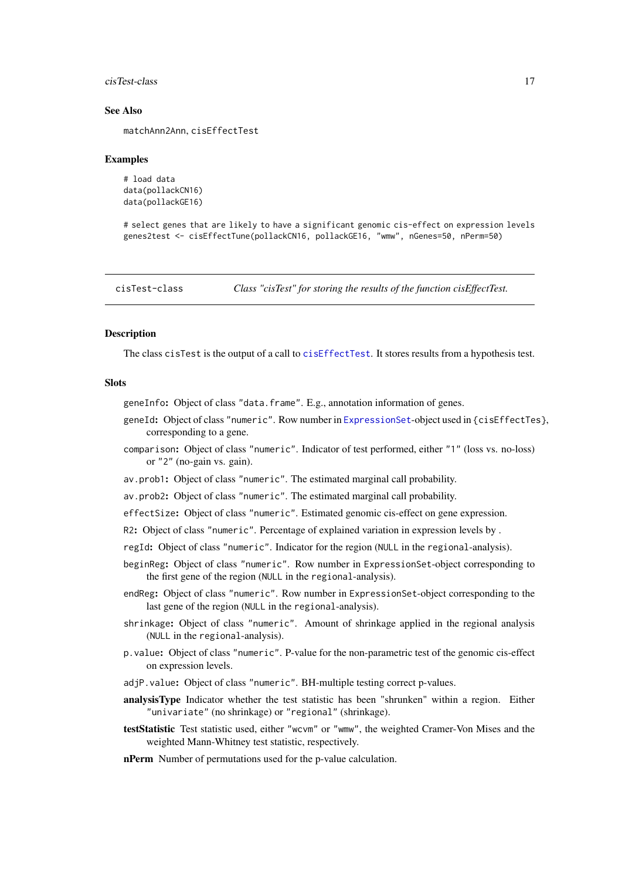#### <span id="page-16-0"></span>cisTest-class 17

#### See Also

matchAnn2Ann, cisEffectTest

#### Examples

```
# load data
data(pollackCN16)
data(pollackGE16)
```
# select genes that are likely to have a significant genomic cis-effect on expression levels genes2test <- cisEffectTune(pollackCN16, pollackGE16, "wmw", nGenes=50, nPerm=50)

cisTest-class *Class "cisTest" for storing the results of the function cisEffectTest.*

#### **Description**

The class cisTest is the output of a call to [cisEffectTest](#page-13-1). It stores results from a hypothesis test.

## Slots

geneInfo: Object of class "data.frame". E.g., annotation information of genes.

- geneId: Object of class "numeric". Row number in [ExpressionSet](#page-0-0)-object used in {cisEffectTes}, corresponding to a gene.
- comparison: Object of class "numeric". Indicator of test performed, either "1" (loss vs. no-loss) or "2" (no-gain vs. gain).
- av.prob1: Object of class "numeric". The estimated marginal call probability.

av.prob2: Object of class "numeric". The estimated marginal call probability.

- effectSize: Object of class "numeric". Estimated genomic cis-effect on gene expression.
- R2: Object of class "numeric". Percentage of explained variation in expression levels by .
- regId: Object of class "numeric". Indicator for the region (NULL in the regional-analysis).
- beginReg: Object of class "numeric". Row number in ExpressionSet-object corresponding to the first gene of the region (NULL in the regional-analysis).
- endReg: Object of class "numeric". Row number in ExpressionSet-object corresponding to the last gene of the region (NULL in the regional-analysis).
- shrinkage: Object of class "numeric". Amount of shrinkage applied in the regional analysis (NULL in the regional-analysis).
- p.value: Object of class "numeric". P-value for the non-parametric test of the genomic cis-effect on expression levels.
- adjP.value: Object of class "numeric". BH-multiple testing correct p-values.
- analysisType Indicator whether the test statistic has been "shrunken" within a region. Either "univariate" (no shrinkage) or "regional" (shrinkage).
- testStatistic Test statistic used, either "wcvm" or "wmw", the weighted Cramer-Von Mises and the weighted Mann-Whitney test statistic, respectively.
- nPerm Number of permutations used for the p-value calculation.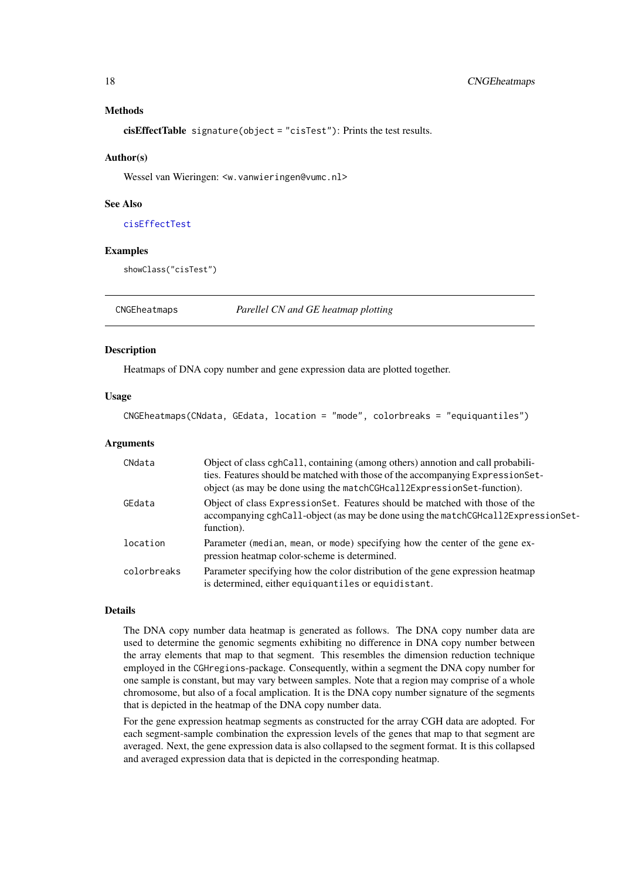## Methods

cisEffectTable signature(object = "cisTest"): Prints the test results.

#### Author(s)

Wessel van Wieringen: <w.vanwieringen@vumc.nl>

#### See Also

[cisEffectTest](#page-13-1)

#### Examples

showClass("cisTest")

CNGEheatmaps *Parellel CN and GE heatmap plotting*

#### Description

Heatmaps of DNA copy number and gene expression data are plotted together.

#### Usage

```
CNGEheatmaps(CNdata, GEdata, location = "mode", colorbreaks = "equiquantiles")
```
## Arguments

| CNdata      | Object of class cghCall, containing (among others) annotion and call probabili-<br>ties. Features should be matched with those of the accompanying ExpressionSet-<br>object (as may be done using the matchCGHcall2ExpressionSet-function). |
|-------------|---------------------------------------------------------------------------------------------------------------------------------------------------------------------------------------------------------------------------------------------|
| GEdata      | Object of class Expression Set. Features should be matched with those of the<br>accompanying cghCall-object (as may be done using the matchCGHcall2ExpressionSet-<br>function).                                                             |
| location    | Parameter (median, mean, or mode) specifying how the center of the gene ex-<br>pression heatmap color-scheme is determined.                                                                                                                 |
| colorbreaks | Parameter specifying how the color distribution of the gene expression heatmap<br>is determined, either equiquantiles or equidistant.                                                                                                       |

## Details

The DNA copy number data heatmap is generated as follows. The DNA copy number data are used to determine the genomic segments exhibiting no difference in DNA copy number between the array elements that map to that segment. This resembles the dimension reduction technique employed in the CGHregions-package. Consequently, within a segment the DNA copy number for one sample is constant, but may vary between samples. Note that a region may comprise of a whole chromosome, but also of a focal amplication. It is the DNA copy number signature of the segments that is depicted in the heatmap of the DNA copy number data.

For the gene expression heatmap segments as constructed for the array CGH data are adopted. For each segment-sample combination the expression levels of the genes that map to that segment are averaged. Next, the gene expression data is also collapsed to the segment format. It is this collapsed and averaged expression data that is depicted in the corresponding heatmap.

<span id="page-17-0"></span>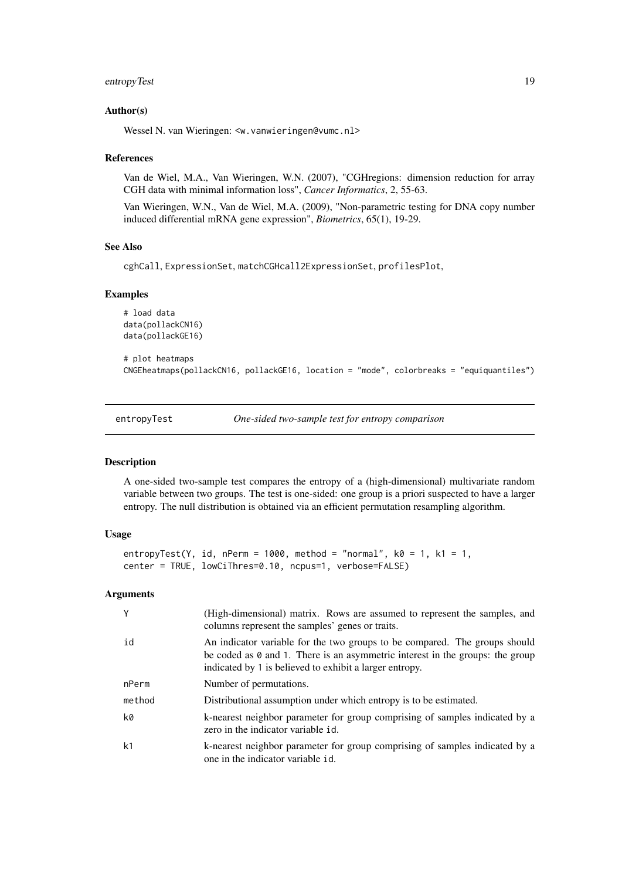#### <span id="page-18-0"></span>entropyTest 19

#### Author(s)

Wessel N. van Wieringen: <w.vanwieringen@vumc.nl>

#### References

Van de Wiel, M.A., Van Wieringen, W.N. (2007), "CGHregions: dimension reduction for array CGH data with minimal information loss", *Cancer Informatics*, 2, 55-63.

Van Wieringen, W.N., Van de Wiel, M.A. (2009), "Non-parametric testing for DNA copy number induced differential mRNA gene expression", *Biometrics*, 65(1), 19-29.

## See Also

cghCall, ExpressionSet, matchCGHcall2ExpressionSet, profilesPlot,

## Examples

```
# load data
data(pollackCN16)
data(pollackGE16)
```
# plot heatmaps CNGEheatmaps(pollackCN16, pollackGE16, location = "mode", colorbreaks = "equiquantiles")

<span id="page-18-1"></span>entropyTest *One-sided two-sample test for entropy comparison*

## Description

A one-sided two-sample test compares the entropy of a (high-dimensional) multivariate random variable between two groups. The test is one-sided: one group is a priori suspected to have a larger entropy. The null distribution is obtained via an efficient permutation resampling algorithm.

## Usage

```
entropyTest(Y, id, nPerm = 1000, method = "normal", k0 = 1, k1 = 1,
center = TRUE, lowCiThres=0.10, ncpus=1, verbose=FALSE)
```
## Arguments

| Υ              | (High-dimensional) matrix. Rows are assumed to represent the samples, and<br>columns represent the samples' genes or traits.                                                                                                  |
|----------------|-------------------------------------------------------------------------------------------------------------------------------------------------------------------------------------------------------------------------------|
| id             | An indicator variable for the two groups to be compared. The groups should<br>be coded as $\theta$ and 1. There is an asymmetric interest in the groups: the group<br>indicated by 1 is believed to exhibit a larger entropy. |
| nPerm          | Number of permutations.                                                                                                                                                                                                       |
| method         | Distributional assumption under which entropy is to be estimated.                                                                                                                                                             |
| k0             | k-nearest neighbor parameter for group comprising of samples indicated by a<br>zero in the indicator variable id.                                                                                                             |
| k <sub>1</sub> | k-nearest neighbor parameter for group comprising of samples indicated by a<br>one in the indicator variable id.                                                                                                              |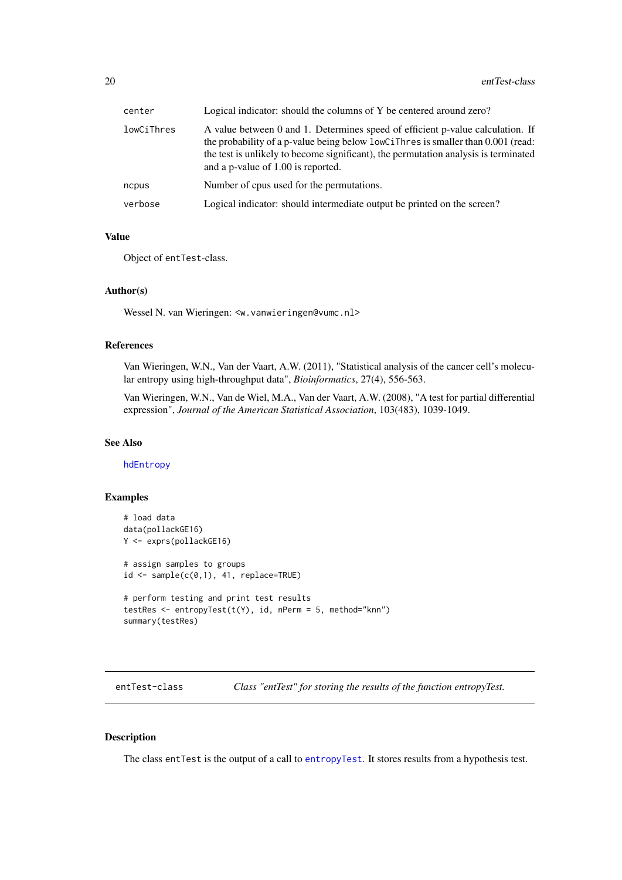<span id="page-19-0"></span>

| center     | Logical indicator: should the columns of Y be centered around zero?                                                                                                                                                                                                                             |
|------------|-------------------------------------------------------------------------------------------------------------------------------------------------------------------------------------------------------------------------------------------------------------------------------------------------|
| lowCiThres | A value between 0 and 1. Determines speed of efficient p-value calculation. If<br>the probability of a p-value being below lowCiThres is smaller than 0.001 (read:<br>the test is unlikely to become significant), the permutation analysis is terminated<br>and a p-value of 1.00 is reported. |
| ncpus      | Number of cpus used for the permutations.                                                                                                                                                                                                                                                       |
| verbose    | Logical indicator: should intermediate output be printed on the screen?                                                                                                                                                                                                                         |
|            |                                                                                                                                                                                                                                                                                                 |

## Value

Object of entTest-class.

## Author(s)

Wessel N. van Wieringen: <w. vanwieringen@vumc.nl>

#### References

Van Wieringen, W.N., Van der Vaart, A.W. (2011), "Statistical analysis of the cancer cell's molecular entropy using high-throughput data", *Bioinformatics*, 27(4), 556-563.

Van Wieringen, W.N., Van de Wiel, M.A., Van der Vaart, A.W. (2008), "A test for partial differential expression", *Journal of the American Statistical Association*, 103(483), 1039-1049.

## See Also

[hdEntropy](#page-25-1)

## Examples

```
# load data
data(pollackGE16)
Y <- exprs(pollackGE16)
# assign samples to groups
id \leftarrow sample(c(0,1), 41, replace=TRUE)# perform testing and print test results
testRes <- entropyTest(t(Y), id, nPerm = 5, method="knn")
summary(testRes)
```
entTest-class *Class "entTest" for storing the results of the function entropyTest.*

## Description

The class entTest is the output of a call to [entropyTest](#page-18-1). It stores results from a hypothesis test.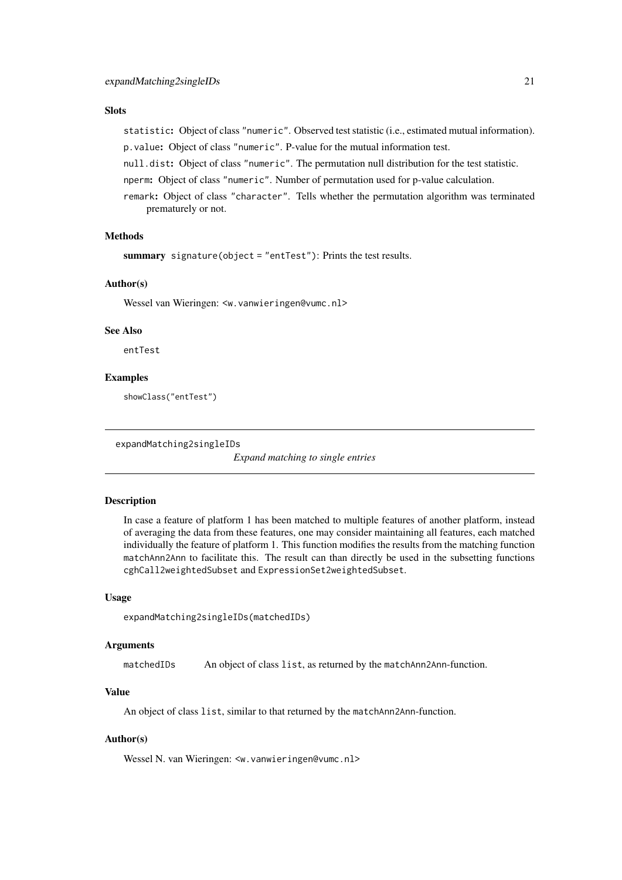#### <span id="page-20-0"></span>Slots

statistic: Object of class "numeric". Observed test statistic (i.e., estimated mutual information).

p.value: Object of class "numeric". P-value for the mutual information test.

null.dist: Object of class "numeric". The permutation null distribution for the test statistic.

nperm: Object of class "numeric". Number of permutation used for p-value calculation.

remark: Object of class "character". Tells whether the permutation algorithm was terminated prematurely or not.

## Methods

summary signature(object = "entTest"): Prints the test results.

#### Author(s)

Wessel van Wieringen: <w.vanwieringen@vumc.nl>

#### See Also

entTest

## Examples

showClass("entTest")

```
expandMatching2singleIDs
```
*Expand matching to single entries*

## Description

In case a feature of platform 1 has been matched to multiple features of another platform, instead of averaging the data from these features, one may consider maintaining all features, each matched individually the feature of platform 1. This function modifies the results from the matching function matchAnn2Ann to facilitate this. The result can than directly be used in the subsetting functions cghCall2weightedSubset and ExpressionSet2weightedSubset.

#### Usage

expandMatching2singleIDs(matchedIDs)

#### Arguments

matchedIDs An object of class list, as returned by the matchAnn2Ann-function.

## Value

An object of class list, similar to that returned by the matchAnn2Ann-function.

## Author(s)

Wessel N. van Wieringen: <w.vanwieringen@vumc.nl>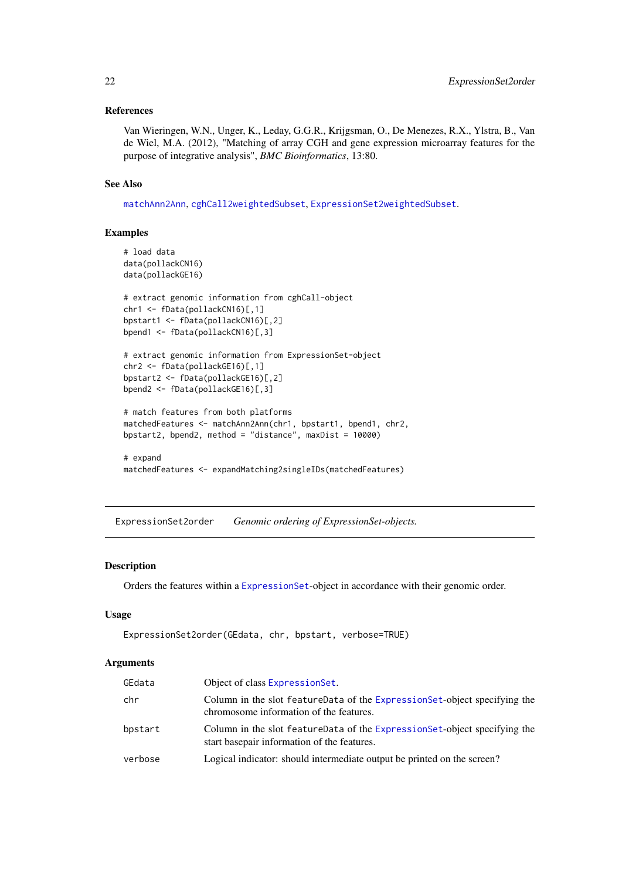#### <span id="page-21-0"></span>References

Van Wieringen, W.N., Unger, K., Leday, G.G.R., Krijgsman, O., De Menezes, R.X., Ylstra, B., Van de Wiel, M.A. (2012), "Matching of array CGH and gene expression microarray features for the purpose of integrative analysis", *BMC Bioinformatics*, 13:80.

#### See Also

[matchAnn2Ann](#page-27-1), [cghCall2weightedSubset](#page-7-1), [ExpressionSet2weightedSubset](#page-23-1).

#### Examples

```
# load data
data(pollackCN16)
data(pollackGE16)
# extract genomic information from cghCall-object
chr1 <- fData(pollackCN16)[,1]
bpstart1 <- fData(pollackCN16)[,2]
bpend1 <- fData(pollackCN16)[,3]
# extract genomic information from ExpressionSet-object
chr2 <- fData(pollackGE16)[,1]
bpstart2 <- fData(pollackGE16)[,2]
bpend2 <- fData(pollackGE16)[,3]
# match features from both platforms
matchedFeatures <- matchAnn2Ann(chr1, bpstart1, bpend1, chr2,
bpstart2, bpend2, method = "distance", maxDist = 10000)
# expand
matchedFeatures <- expandMatching2singleIDs(matchedFeatures)
```
ExpressionSet2order *Genomic ordering of ExpressionSet-objects.*

## Description

Orders the features within a [ExpressionSet](#page-0-0)-object in accordance with their genomic order.

## Usage

```
ExpressionSet2order(GEdata, chr, bpstart, verbose=TRUE)
```
#### Arguments

| GEdata  | Object of class Expression Set.                                                                                            |
|---------|----------------------------------------------------------------------------------------------------------------------------|
| chr     | Column in the slot feature Data of the Expression Set-object specifying the<br>chromosome information of the features.     |
| bpstart | Column in the slot feature Data of the Expression Set-object specifying the<br>start basepair information of the features. |
| verbose | Logical indicator: should intermediate output be printed on the screen?                                                    |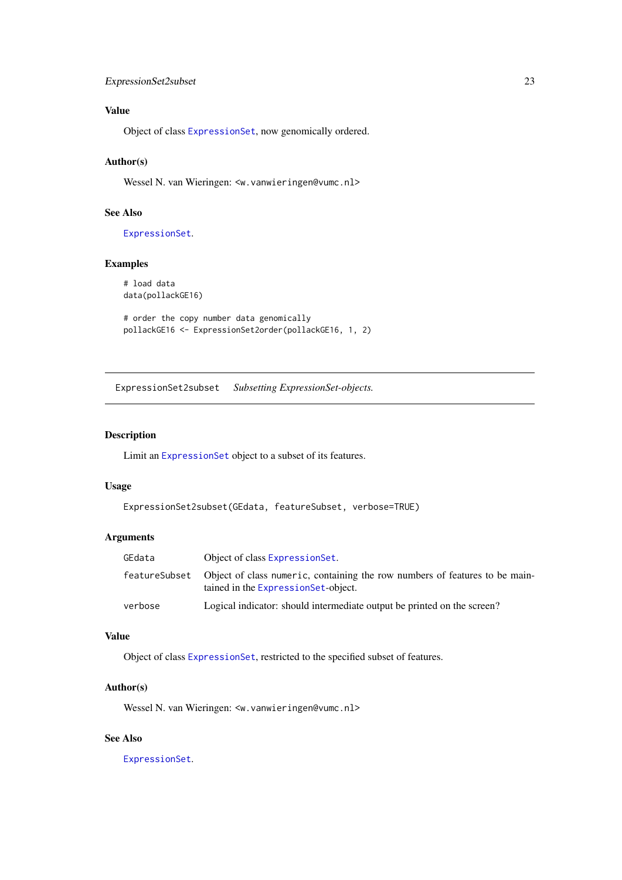#### <span id="page-22-0"></span>ExpressionSet2subset 23

## Value

Object of class [ExpressionSet](#page-0-0), now genomically ordered.

## Author(s)

Wessel N. van Wieringen: <w. vanwieringen@vumc.nl>

## See Also

[ExpressionSet](#page-0-0).

## Examples

```
# load data
data(pollackGE16)
```

```
# order the copy number data genomically
pollackGE16 <- ExpressionSet2order(pollackGE16, 1, 2)
```
ExpressionSet2subset *Subsetting ExpressionSet-objects.*

## Description

Limit an [ExpressionSet](#page-0-0) object to a subset of its features.

## Usage

```
ExpressionSet2subset(GEdata, featureSubset, verbose=TRUE)
```
## Arguments

| GEdata  | Object of class Expression Set.                                                                                                   |
|---------|-----------------------------------------------------------------------------------------------------------------------------------|
|         | feature Subset Object of class numeric, containing the row numbers of features to be main-<br>tained in the ExpressionSet-object. |
| verbose | Logical indicator: should intermediate output be printed on the screen?                                                           |

## Value

Object of class [ExpressionSet](#page-0-0), restricted to the specified subset of features.

## Author(s)

Wessel N. van Wieringen: <w. vanwieringen@vumc.nl>

## See Also

[ExpressionSet](#page-0-0).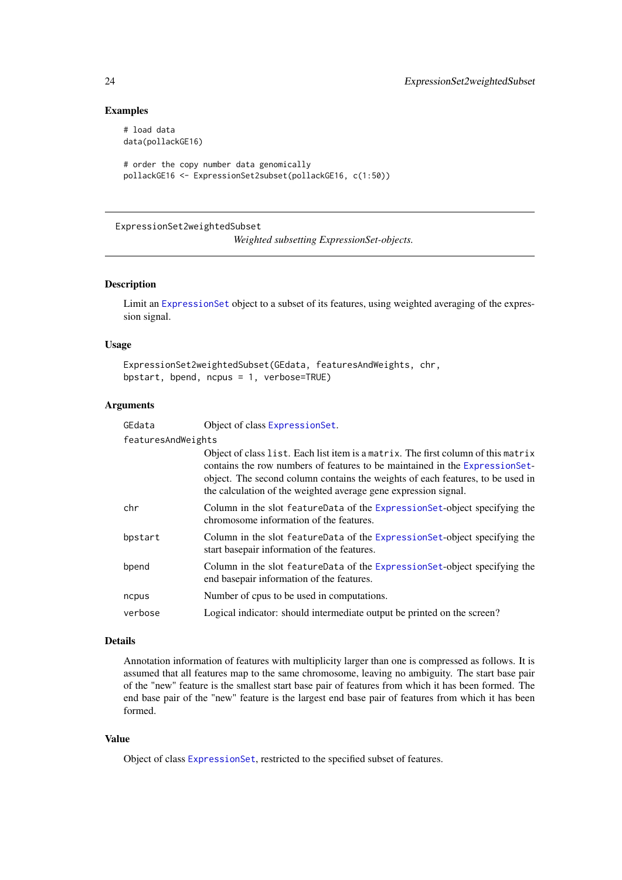## Examples

```
# load data
data(pollackGE16)
# order the copy number data genomically
pollackGE16 <- ExpressionSet2subset(pollackGE16, c(1:50))
```
<span id="page-23-1"></span>ExpressionSet2weightedSubset

*Weighted subsetting ExpressionSet-objects.*

#### Description

Limit an [ExpressionSet](#page-0-0) object to a subset of its features, using weighted averaging of the expression signal.

#### Usage

ExpressionSet2weightedSubset(GEdata, featuresAndWeights, chr, bpstart, bpend, ncpus = 1, verbose=TRUE)

## Arguments

| GEdata             | Object of class Expression Set.                                                                                                                                                                                                                                                                                       |
|--------------------|-----------------------------------------------------------------------------------------------------------------------------------------------------------------------------------------------------------------------------------------------------------------------------------------------------------------------|
| featuresAndWeights |                                                                                                                                                                                                                                                                                                                       |
|                    | Object of class list. Each list item is a matrix. The first column of this matrix<br>contains the row numbers of features to be maintained in the ExpressionSet-<br>object. The second column contains the weights of each features, to be used in<br>the calculation of the weighted average gene expression signal. |
| chr                | Column in the slot feature Data of the Expression Set-object specifying the<br>chromosome information of the features.                                                                                                                                                                                                |
| bpstart            | Column in the slot feature Data of the Expression Set-object specifying the<br>start basepair information of the features.                                                                                                                                                                                            |
| bpend              | Column in the slot feature Data of the Expression Set-object specifying the<br>end basepair information of the features.                                                                                                                                                                                              |
| ncpus              | Number of cpus to be used in computations.                                                                                                                                                                                                                                                                            |
| verbose            | Logical indicator: should intermediate output be printed on the screen?                                                                                                                                                                                                                                               |

#### Details

Annotation information of features with multiplicity larger than one is compressed as follows. It is assumed that all features map to the same chromosome, leaving no ambiguity. The start base pair of the "new" feature is the smallest start base pair of features from which it has been formed. The end base pair of the "new" feature is the largest end base pair of features from which it has been formed.

## Value

Object of class [ExpressionSet](#page-0-0), restricted to the specified subset of features.

<span id="page-23-0"></span>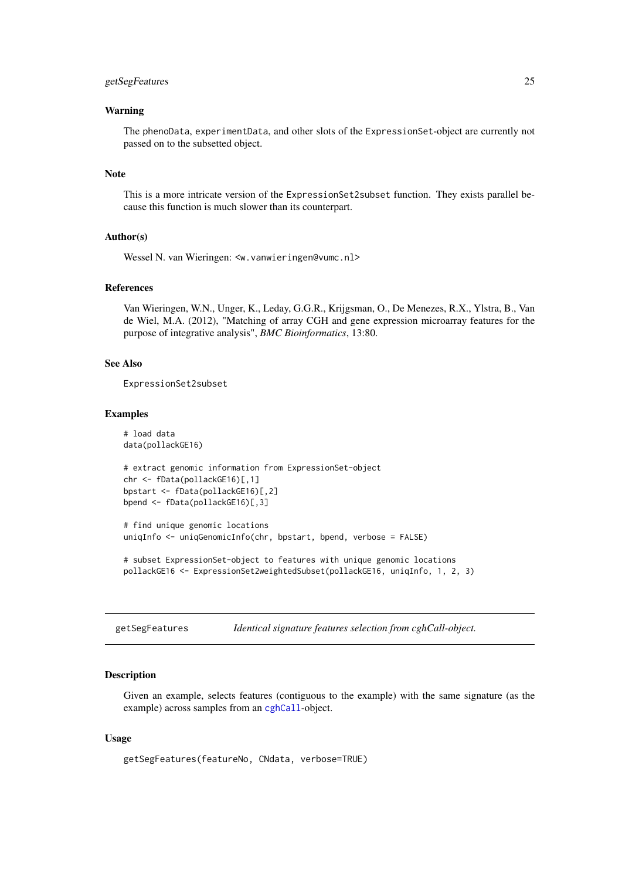#### <span id="page-24-0"></span>getSegFeatures 25

#### Warning

The phenoData, experimentData, and other slots of the ExpressionSet-object are currently not passed on to the subsetted object.

#### Note

This is a more intricate version of the ExpressionSet2subset function. They exists parallel because this function is much slower than its counterpart.

#### Author(s)

Wessel N. van Wieringen: <w. vanwieringen@vumc.nl>

## References

Van Wieringen, W.N., Unger, K., Leday, G.G.R., Krijgsman, O., De Menezes, R.X., Ylstra, B., Van de Wiel, M.A. (2012), "Matching of array CGH and gene expression microarray features for the purpose of integrative analysis", *BMC Bioinformatics*, 13:80.

## See Also

ExpressionSet2subset

#### Examples

```
# load data
data(pollackGE16)
```

```
# extract genomic information from ExpressionSet-object
chr <- fData(pollackGE16)[,1]
bpstart <- fData(pollackGE16)[,2]
bpend <- fData(pollackGE16)[,3]
```

```
# find unique genomic locations
uniqInfo <- uniqGenomicInfo(chr, bpstart, bpend, verbose = FALSE)
```

```
# subset ExpressionSet-object to features with unique genomic locations
pollackGE16 <- ExpressionSet2weightedSubset(pollackGE16, uniqInfo, 1, 2, 3)
```
getSegFeatures *Identical signature features selection from cghCall-object.*

## Description

Given an example, selects features (contiguous to the example) with the same signature (as the example) across samples from an [cghCall](#page-0-0)-object.

```
getSegFeatures(featureNo, CNdata, verbose=TRUE)
```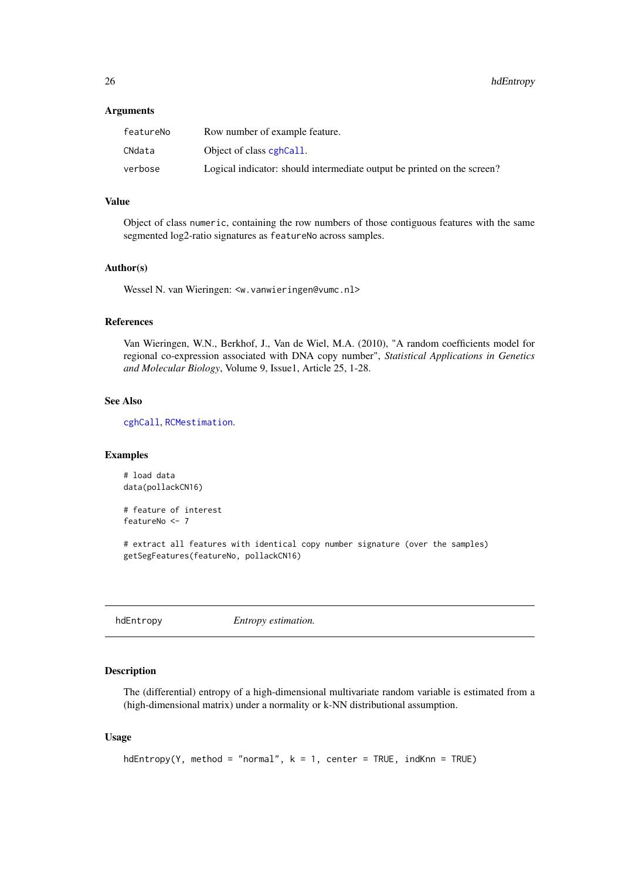#### Arguments

| featureNo | Row number of example feature.                                          |
|-----------|-------------------------------------------------------------------------|
| CNdata    | Object of class cghCall.                                                |
| verbose   | Logical indicator: should intermediate output be printed on the screen? |

## Value

Object of class numeric, containing the row numbers of those contiguous features with the same segmented log2-ratio signatures as featureNo across samples.

## Author(s)

Wessel N. van Wieringen: <w.vanwieringen@vumc.nl>

### References

Van Wieringen, W.N., Berkhof, J., Van de Wiel, M.A. (2010), "A random coefficients model for regional co-expression associated with DNA copy number", *Statistical Applications in Genetics and Molecular Biology*, Volume 9, Issue1, Article 25, 1-28.

#### See Also

[cghCall](#page-0-0), [RCMestimation](#page-46-1).

#### Examples

```
# load data
data(pollackCN16)
```
# feature of interest featureNo <- 7

# extract all features with identical copy number signature (over the samples) getSegFeatures(featureNo, pollackCN16)

<span id="page-25-1"></span>

hdEntropy *Entropy estimation.*

## Description

The (differential) entropy of a high-dimensional multivariate random variable is estimated from a (high-dimensional matrix) under a normality or k-NN distributional assumption.

```
hdEntropy(Y, method = "normal", k = 1, center = TRUE, indKnn = TRUE)
```
<span id="page-25-0"></span>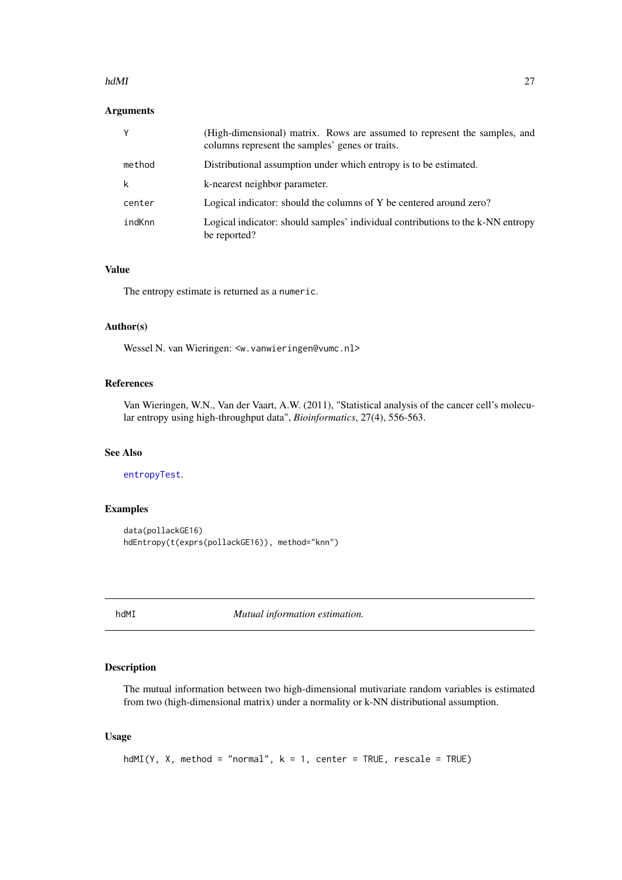#### <span id="page-26-0"></span>hdMI 27

## Arguments

| Υ      | (High-dimensional) matrix. Rows are assumed to represent the samples, and<br>columns represent the samples' genes or traits. |
|--------|------------------------------------------------------------------------------------------------------------------------------|
| method | Distributional assumption under which entropy is to be estimated.                                                            |
| k      | k-nearest neighbor parameter.                                                                                                |
| center | Logical indicator: should the columns of Y be centered around zero?                                                          |
| indKnn | Logical indicator: should samples' individual contributions to the k-NN entropy<br>be reported?                              |

## Value

The entropy estimate is returned as a numeric.

## Author(s)

Wessel N. van Wieringen: <w.vanwieringen@vumc.nl>

## References

Van Wieringen, W.N., Van der Vaart, A.W. (2011), "Statistical analysis of the cancer cell's molecular entropy using high-throughput data", *Bioinformatics*, 27(4), 556-563.

## See Also

## [entropyTest](#page-18-1).

## Examples

```
data(pollackGE16)
hdEntropy(t(exprs(pollackGE16)), method="knn")
```
<span id="page-26-1"></span>hdMI *Mutual information estimation.*

## Description

The mutual information between two high-dimensional mutivariate random variables is estimated from two (high-dimensional matrix) under a normality or k-NN distributional assumption.

```
hdMI(Y, X, method = "normal", k = 1, center = TRUE, rescale = TRUE)
```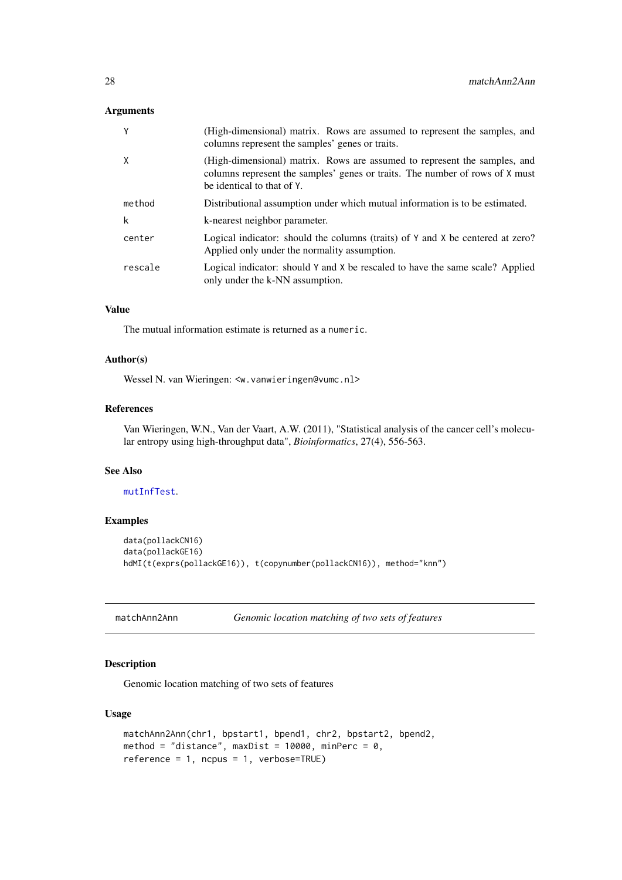## <span id="page-27-0"></span>Arguments

| Y       | (High-dimensional) matrix. Rows are assumed to represent the samples, and<br>columns represent the samples' genes or traits.                                                            |
|---------|-----------------------------------------------------------------------------------------------------------------------------------------------------------------------------------------|
| X       | (High-dimensional) matrix. Rows are assumed to represent the samples, and<br>columns represent the samples' genes or traits. The number of rows of X must<br>be identical to that of Y. |
| method  | Distributional assumption under which mutual information is to be estimated.                                                                                                            |
| k       | k-nearest neighbor parameter.                                                                                                                                                           |
| center  | Logical indicator: should the columns (traits) of Y and X be centered at zero?<br>Applied only under the normality assumption.                                                          |
| rescale | Logical indicator: should Y and X be rescaled to have the same scale? Applied<br>only under the k-NN assumption.                                                                        |

## Value

The mutual information estimate is returned as a numeric.

## Author(s)

Wessel N. van Wieringen: <w. vanwieringen@vumc.nl>

## References

Van Wieringen, W.N., Van der Vaart, A.W. (2011), "Statistical analysis of the cancer cell's molecular entropy using high-throughput data", *Bioinformatics*, 27(4), 556-563.

#### See Also

## [mutInfTest](#page-35-1).

## Examples

```
data(pollackCN16)
data(pollackGE16)
hdMI(t(exprs(pollackGE16)), t(copynumber(pollackCN16)), method="knn")
```
<span id="page-27-1"></span>matchAnn2Ann *Genomic location matching of two sets of features*

## Description

Genomic location matching of two sets of features

```
matchAnn2Ann(chr1, bpstart1, bpend1, chr2, bpstart2, bpend2,
method = "distance", maxDist = 10000, minPerc = 0,
reference = 1, ncpus = 1, verbose=TRUE)
```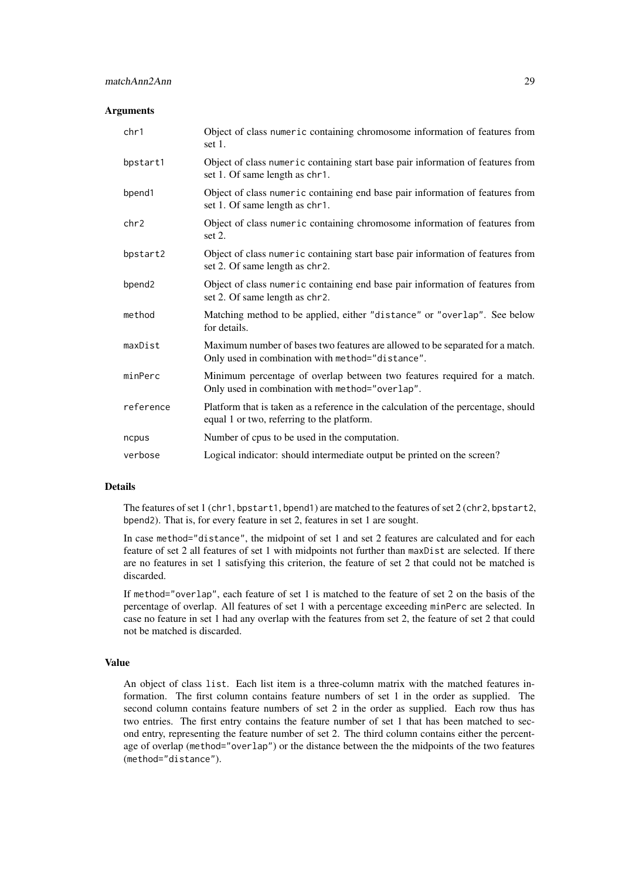#### Arguments

| chr1      | Object of class numeric containing chromosome information of features from<br>set 1.                                              |
|-----------|-----------------------------------------------------------------------------------------------------------------------------------|
| bpstart1  | Object of class numeric containing start base pair information of features from<br>set 1. Of same length as chr1.                 |
| bpend1    | Object of class numeric containing end base pair information of features from<br>set 1. Of same length as chr1.                   |
| chr2      | Object of class numeric containing chromosome information of features from<br>set $2$ .                                           |
| bpstart2  | Object of class numeric containing start base pair information of features from<br>set 2. Of same length as chr2.                 |
| bpend2    | Object of class numeric containing end base pair information of features from<br>set 2. Of same length as chr2.                   |
| method    | Matching method to be applied, either "distance" or "overlap". See below<br>for details.                                          |
| maxDist   | Maximum number of bases two features are allowed to be separated for a match.<br>Only used in combination with method="distance". |
| minPerc   | Minimum percentage of overlap between two features required for a match.<br>Only used in combination with method="overlap".       |
| reference | Platform that is taken as a reference in the calculation of the percentage, should<br>equal 1 or two, referring to the platform.  |
| ncpus     | Number of cpus to be used in the computation.                                                                                     |
| verbose   | Logical indicator: should intermediate output be printed on the screen?                                                           |

### Details

The features of set 1 (chr1, bpstart1, bpend1) are matched to the features of set 2 (chr2, bpstart2, bpend2). That is, for every feature in set 2, features in set 1 are sought.

In case method="distance", the midpoint of set 1 and set 2 features are calculated and for each feature of set 2 all features of set 1 with midpoints not further than maxDist are selected. If there are no features in set 1 satisfying this criterion, the feature of set 2 that could not be matched is discarded.

If method="overlap", each feature of set 1 is matched to the feature of set 2 on the basis of the percentage of overlap. All features of set 1 with a percentage exceeding minPerc are selected. In case no feature in set 1 had any overlap with the features from set 2, the feature of set 2 that could not be matched is discarded.

#### Value

An object of class list. Each list item is a three-column matrix with the matched features information. The first column contains feature numbers of set 1 in the order as supplied. The second column contains feature numbers of set 2 in the order as supplied. Each row thus has two entries. The first entry contains the feature number of set 1 that has been matched to second entry, representing the feature number of set 2. The third column contains either the percentage of overlap (method="overlap") or the distance between the the midpoints of the two features (method="distance").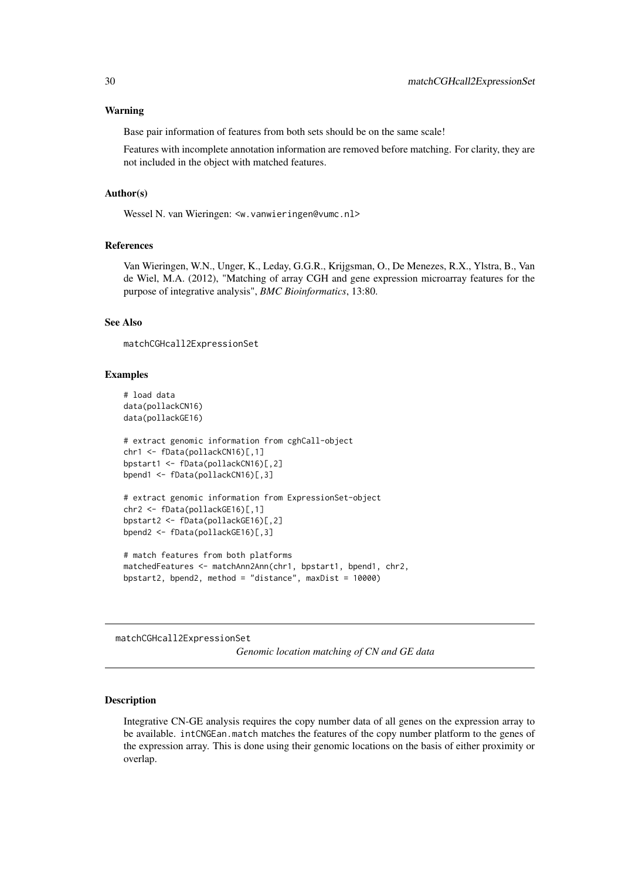#### <span id="page-29-0"></span>Warning

Base pair information of features from both sets should be on the same scale!

Features with incomplete annotation information are removed before matching. For clarity, they are not included in the object with matched features.

#### Author(s)

Wessel N. van Wieringen: <w. vanwieringen@vumc.nl>

#### References

Van Wieringen, W.N., Unger, K., Leday, G.G.R., Krijgsman, O., De Menezes, R.X., Ylstra, B., Van de Wiel, M.A. (2012), "Matching of array CGH and gene expression microarray features for the purpose of integrative analysis", *BMC Bioinformatics*, 13:80.

#### See Also

matchCGHcall2ExpressionSet

#### Examples

```
# load data
data(pollackCN16)
data(pollackGE16)
# extract genomic information from cghCall-object
chr1 <- fData(pollackCN16)[,1]
bpstart1 <- fData(pollackCN16)[,2]
bpend1 <- fData(pollackCN16)[,3]
# extract genomic information from ExpressionSet-object
chr2 <- fData(pollackGE16)[,1]
bpstart2 <- fData(pollackGE16)[,2]
bpend2 <- fData(pollackGE16)[,3]
# match features from both platforms
matchedFeatures <- matchAnn2Ann(chr1, bpstart1, bpend1, chr2,
bpstart2, bpend2, method = "distance", maxDist = 10000)
```
<span id="page-29-1"></span>matchCGHcall2ExpressionSet

*Genomic location matching of CN and GE data*

#### Description

Integrative CN-GE analysis requires the copy number data of all genes on the expression array to be available. intCNGEan.match matches the features of the copy number platform to the genes of the expression array. This is done using their genomic locations on the basis of either proximity or overlap.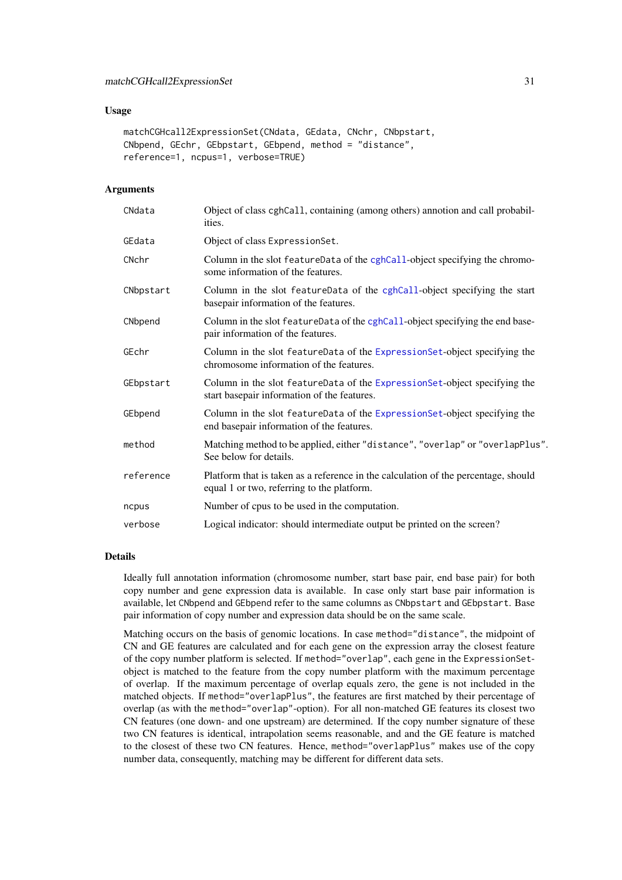#### <span id="page-30-0"></span>Usage

```
matchCGHcall2ExpressionSet(CNdata, GEdata, CNchr, CNbpstart,
CNbpend, GEchr, GEbpstart, GEbpend, method = "distance",
reference=1, ncpus=1, verbose=TRUE)
```
## Arguments

| CNdata    | Object of class cghCall, containing (among others) annotion and call probabil-<br>ities.                                         |
|-----------|----------------------------------------------------------------------------------------------------------------------------------|
| GEdata    | Object of class ExpressionSet.                                                                                                   |
| CNchr     | Column in the slot featureData of the cghCall-object specifying the chromo-<br>some information of the features.                 |
| CNbpstart | Column in the slot featureData of the cghCall-object specifying the start<br>basepair information of the features.               |
| CNbpend   | Column in the slot featureData of the cghCall-object specifying the end base-<br>pair information of the features.               |
| GEchr     | Column in the slot featureData of the ExpressionSet-object specifying the<br>chromosome information of the features.             |
| GEbpstart | Column in the slot featureData of the ExpressionSet-object specifying the<br>start basepair information of the features.         |
| GEbpend   | Column in the slot featureData of the ExpressionSet-object specifying the<br>end basepair information of the features.           |
| method    | Matching method to be applied, either "distance", "overlap" or "overlapPlus".<br>See below for details.                          |
| reference | Platform that is taken as a reference in the calculation of the percentage, should<br>equal 1 or two, referring to the platform. |
| ncpus     | Number of cpus to be used in the computation.                                                                                    |
| verbose   | Logical indicator: should intermediate output be printed on the screen?                                                          |

#### Details

Ideally full annotation information (chromosome number, start base pair, end base pair) for both copy number and gene expression data is available. In case only start base pair information is available, let CNbpend and GEbpend refer to the same columns as CNbpstart and GEbpstart. Base pair information of copy number and expression data should be on the same scale.

Matching occurs on the basis of genomic locations. In case method="distance", the midpoint of CN and GE features are calculated and for each gene on the expression array the closest feature of the copy number platform is selected. If method="overlap", each gene in the ExpressionSetobject is matched to the feature from the copy number platform with the maximum percentage of overlap. If the maximum percentage of overlap equals zero, the gene is not included in the matched objects. If method="overlapPlus", the features are first matched by their percentage of overlap (as with the method="overlap"-option). For all non-matched GE features its closest two CN features (one down- and one upstream) are determined. If the copy number signature of these two CN features is identical, intrapolation seems reasonable, and and the GE feature is matched to the closest of these two CN features. Hence, method="overlapPlus" makes use of the copy number data, consequently, matching may be different for different data sets.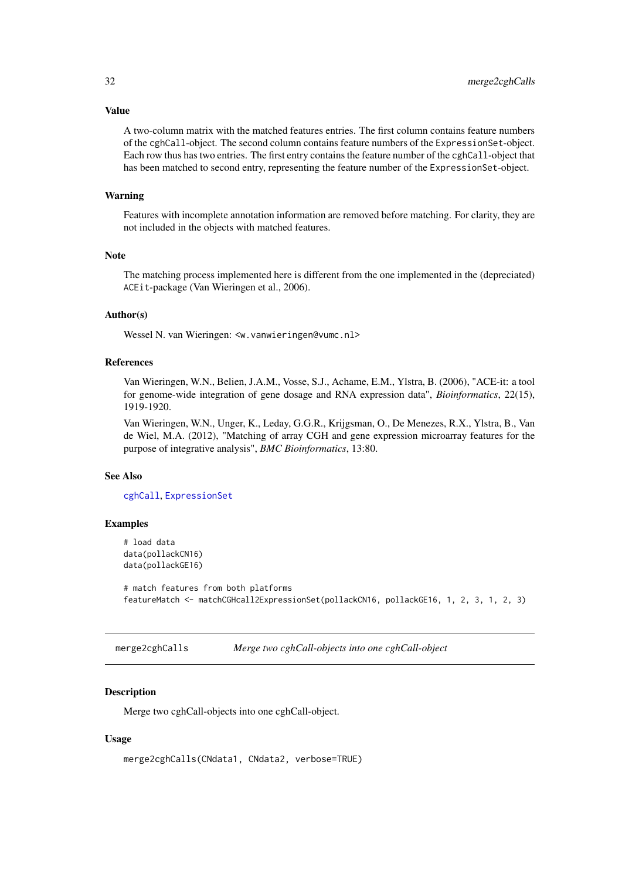#### Value

A two-column matrix with the matched features entries. The first column contains feature numbers of the cghCall-object. The second column contains feature numbers of the ExpressionSet-object. Each row thus has two entries. The first entry contains the feature number of the cghCall-object that has been matched to second entry, representing the feature number of the ExpressionSet-object.

#### Warning

Features with incomplete annotation information are removed before matching. For clarity, they are not included in the objects with matched features.

### Note

The matching process implemented here is different from the one implemented in the (depreciated) ACEit-package (Van Wieringen et al., 2006).

## Author(s)

Wessel N. van Wieringen: <w.vanwieringen@vumc.nl>

## References

Van Wieringen, W.N., Belien, J.A.M., Vosse, S.J., Achame, E.M., Ylstra, B. (2006), "ACE-it: a tool for genome-wide integration of gene dosage and RNA expression data", *Bioinformatics*, 22(15), 1919-1920.

Van Wieringen, W.N., Unger, K., Leday, G.G.R., Krijgsman, O., De Menezes, R.X., Ylstra, B., Van de Wiel, M.A. (2012), "Matching of array CGH and gene expression microarray features for the purpose of integrative analysis", *BMC Bioinformatics*, 13:80.

#### See Also

[cghCall](#page-0-0), [ExpressionSet](#page-0-0)

## Examples

```
# load data
data(pollackCN16)
data(pollackGE16)
```

```
# match features from both platforms
featureMatch <- matchCGHcall2ExpressionSet(pollackCN16, pollackGE16, 1, 2, 3, 1, 2, 3)
```
merge2cghCalls *Merge two cghCall-objects into one cghCall-object*

#### Description

Merge two cghCall-objects into one cghCall-object.

```
merge2cghCalls(CNdata1, CNdata2, verbose=TRUE)
```
<span id="page-31-0"></span>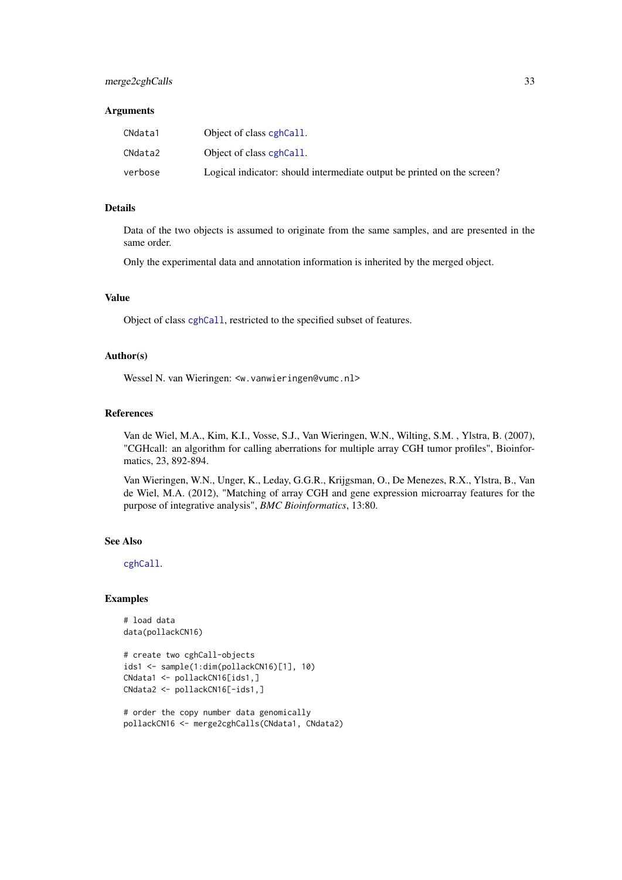#### <span id="page-32-0"></span>Arguments

| CNdata1 | Object of class cghCall.                                                |
|---------|-------------------------------------------------------------------------|
| CNdata2 | Object of class cghCall.                                                |
| verbose | Logical indicator: should intermediate output be printed on the screen? |

#### Details

Data of the two objects is assumed to originate from the same samples, and are presented in the same order.

Only the experimental data and annotation information is inherited by the merged object.

## Value

Object of class [cghCall](#page-0-0), restricted to the specified subset of features.

## Author(s)

Wessel N. van Wieringen: <w.vanwieringen@vumc.nl>

#### References

Van de Wiel, M.A., Kim, K.I., Vosse, S.J., Van Wieringen, W.N., Wilting, S.M. , Ylstra, B. (2007), "CGHcall: an algorithm for calling aberrations for multiple array CGH tumor profiles", Bioinformatics, 23, 892-894.

Van Wieringen, W.N., Unger, K., Leday, G.G.R., Krijgsman, O., De Menezes, R.X., Ylstra, B., Van de Wiel, M.A. (2012), "Matching of array CGH and gene expression microarray features for the purpose of integrative analysis", *BMC Bioinformatics*, 13:80.

#### See Also

[cghCall](#page-0-0).

## Examples

```
# load data
data(pollackCN16)
```

```
# create two cghCall-objects
ids1 <- sample(1:dim(pollackCN16)[1], 10)
CNdata1 <- pollackCN16[ids1,]
CNdata2 <- pollackCN16[-ids1,]
```

```
# order the copy number data genomically
pollackCN16 <- merge2cghCalls(CNdata1, CNdata2)
```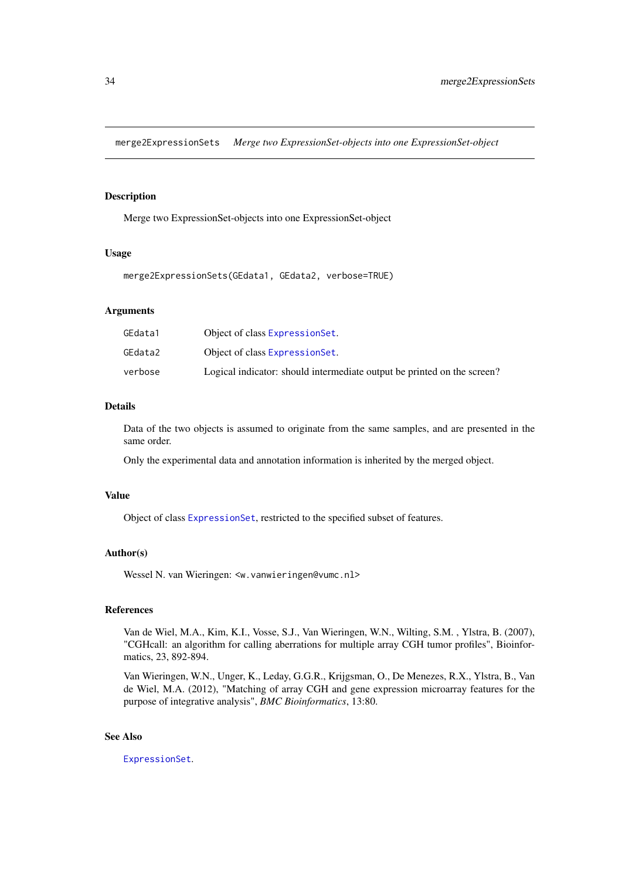<span id="page-33-0"></span>merge2ExpressionSets *Merge two ExpressionSet-objects into one ExpressionSet-object*

#### Description

Merge two ExpressionSet-objects into one ExpressionSet-object

## Usage

merge2ExpressionSets(GEdata1, GEdata2, verbose=TRUE)

#### Arguments

| GEdata1 | Object of class Expression Set.                                         |
|---------|-------------------------------------------------------------------------|
| GEdata2 | Object of class Expression Set.                                         |
| verbose | Logical indicator: should intermediate output be printed on the screen? |

## Details

Data of the two objects is assumed to originate from the same samples, and are presented in the same order.

Only the experimental data and annotation information is inherited by the merged object.

#### Value

Object of class [ExpressionSet](#page-0-0), restricted to the specified subset of features.

#### Author(s)

Wessel N. van Wieringen: <w.vanwieringen@vumc.nl>

## References

Van de Wiel, M.A., Kim, K.I., Vosse, S.J., Van Wieringen, W.N., Wilting, S.M. , Ylstra, B. (2007), "CGHcall: an algorithm for calling aberrations for multiple array CGH tumor profiles", Bioinformatics, 23, 892-894.

Van Wieringen, W.N., Unger, K., Leday, G.G.R., Krijgsman, O., De Menezes, R.X., Ylstra, B., Van de Wiel, M.A. (2012), "Matching of array CGH and gene expression microarray features for the purpose of integrative analysis", *BMC Bioinformatics*, 13:80.

## See Also

[ExpressionSet](#page-0-0).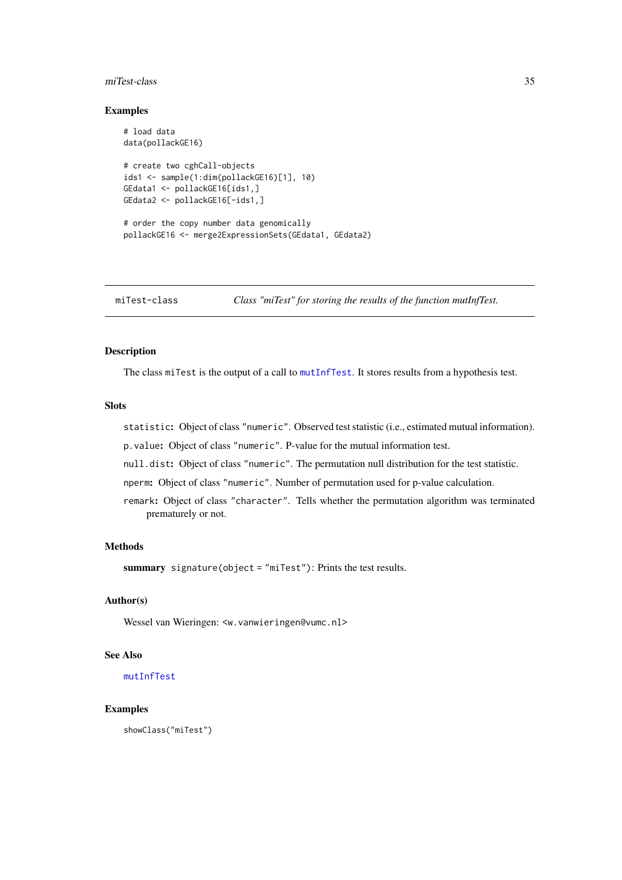#### <span id="page-34-0"></span>miTest-class 35

## Examples

```
# load data
data(pollackGE16)
# create two cghCall-objects
ids1 <- sample(1:dim(pollackGE16)[1], 10)
GEdata1 <- pollackGE16[ids1,]
GEdata2 <- pollackGE16[-ids1,]
# order the copy number data genomically
pollackGE16 <- merge2ExpressionSets(GEdata1, GEdata2)
```
miTest-class *Class "miTest" for storing the results of the function mutInfTest.*

#### Description

The class miTest is the output of a call to [mutInfTest](#page-35-1). It stores results from a hypothesis test.

## Slots

statistic: Object of class "numeric". Observed test statistic (i.e., estimated mutual information).

p.value: Object of class "numeric". P-value for the mutual information test.

null.dist: Object of class "numeric". The permutation null distribution for the test statistic.

nperm: Object of class "numeric". Number of permutation used for p-value calculation.

remark: Object of class "character". Tells whether the permutation algorithm was terminated prematurely or not.

## Methods

summary signature(object = "miTest"): Prints the test results.

#### Author(s)

Wessel van Wieringen: <w.vanwieringen@vumc.nl>

## See Also

[mutInfTest](#page-35-1)

#### Examples

showClass("miTest")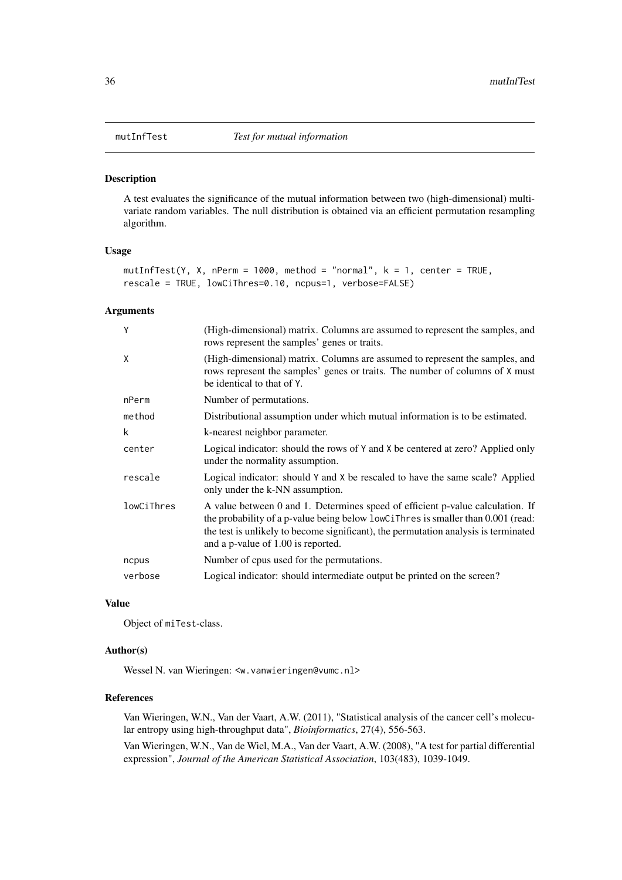#### <span id="page-35-1"></span><span id="page-35-0"></span>Description

A test evaluates the significance of the mutual information between two (high-dimensional) multivariate random variables. The null distribution is obtained via an efficient permutation resampling algorithm.

## Usage

```
mutInfTest(Y, X, nPerm = 1000, method = "normal", k = 1, center = TRUE,
rescale = TRUE, lowCiThres=0.10, ncpus=1, verbose=FALSE)
```
#### Arguments

| Y          | (High-dimensional) matrix. Columns are assumed to represent the samples, and<br>rows represent the samples' genes or traits.                                                                                                                                                                    |
|------------|-------------------------------------------------------------------------------------------------------------------------------------------------------------------------------------------------------------------------------------------------------------------------------------------------|
| X          | (High-dimensional) matrix. Columns are assumed to represent the samples, and<br>rows represent the samples' genes or traits. The number of columns of X must<br>be identical to that of Y.                                                                                                      |
| nPerm      | Number of permutations.                                                                                                                                                                                                                                                                         |
| method     | Distributional assumption under which mutual information is to be estimated.                                                                                                                                                                                                                    |
| k          | k-nearest neighbor parameter.                                                                                                                                                                                                                                                                   |
| center     | Logical indicator: should the rows of Y and X be centered at zero? Applied only<br>under the normality assumption.                                                                                                                                                                              |
| rescale    | Logical indicator: should Y and X be rescaled to have the same scale? Applied<br>only under the k-NN assumption.                                                                                                                                                                                |
| lowCiThres | A value between 0 and 1. Determines speed of efficient p-value calculation. If<br>the probability of a p-value being below lowCiThres is smaller than 0.001 (read:<br>the test is unlikely to become significant), the permutation analysis is terminated<br>and a p-value of 1.00 is reported. |
| ncpus      | Number of cpus used for the permutations.                                                                                                                                                                                                                                                       |
| verbose    | Logical indicator: should intermediate output be printed on the screen?                                                                                                                                                                                                                         |
|            |                                                                                                                                                                                                                                                                                                 |

## Value

Object of miTest-class.

#### Author(s)

Wessel N. van Wieringen: <w. vanwieringen@vumc.nl>

#### References

Van Wieringen, W.N., Van der Vaart, A.W. (2011), "Statistical analysis of the cancer cell's molecular entropy using high-throughput data", *Bioinformatics*, 27(4), 556-563.

Van Wieringen, W.N., Van de Wiel, M.A., Van der Vaart, A.W. (2008), "A test for partial differential expression", *Journal of the American Statistical Association*, 103(483), 1039-1049.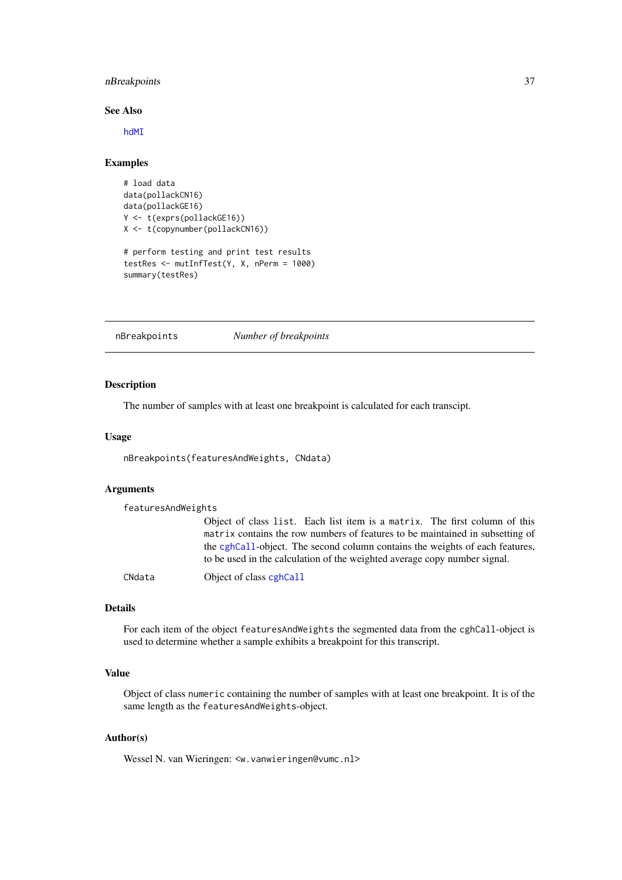#### <span id="page-36-0"></span>nBreakpoints 37

#### See Also

[hdMI](#page-26-1)

## Examples

```
# load data
data(pollackCN16)
data(pollackGE16)
Y <- t(exprs(pollackGE16))
X <- t(copynumber(pollackCN16))
# perform testing and print test results
testRes <- mutInfTest(Y, X, nPerm = 1000)
summary(testRes)
```
nBreakpoints *Number of breakpoints*

## Description

The number of samples with at least one breakpoint is calculated for each transcipt.

#### Usage

nBreakpoints(featuresAndWeights, CNdata)

#### Arguments

| featuresAndWeights |                                                                                                                                                                                                                                                                                                                          |
|--------------------|--------------------------------------------------------------------------------------------------------------------------------------------------------------------------------------------------------------------------------------------------------------------------------------------------------------------------|
|                    | Object of class list. Each list item is a matrix. The first column of this<br>matrix contains the row numbers of features to be maintained in subsetting of<br>the cghCall-object. The second column contains the weights of each features,<br>to be used in the calculation of the weighted average copy number signal. |
| CNdata             | Object of class cghCall                                                                                                                                                                                                                                                                                                  |

#### Details

For each item of the object featuresAndWeights the segmented data from the cghCall-object is used to determine whether a sample exhibits a breakpoint for this transcript.

#### Value

Object of class numeric containing the number of samples with at least one breakpoint. It is of the same length as the featuresAndWeights-object.

## Author(s)

Wessel N. van Wieringen: <w.vanwieringen@vumc.nl>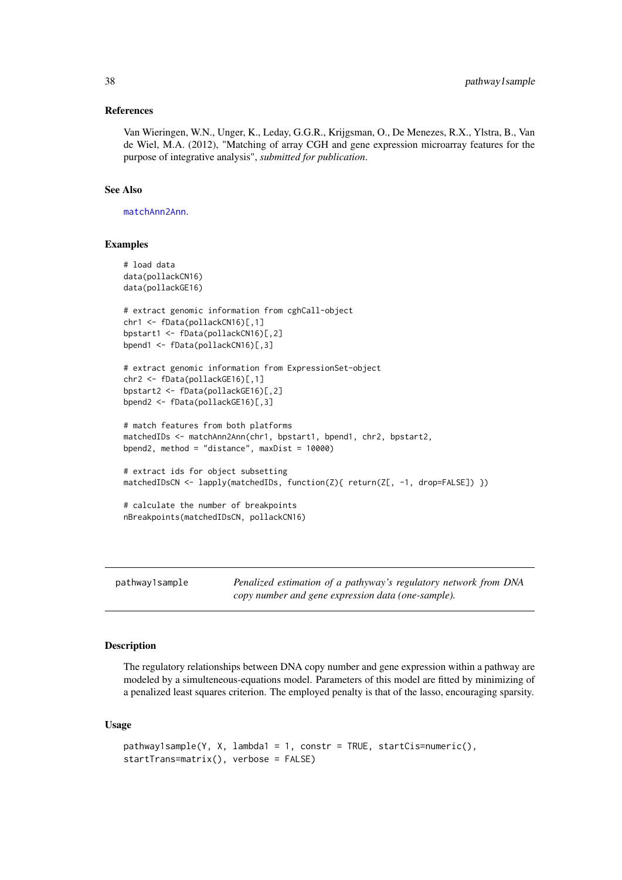#### <span id="page-37-0"></span>References

Van Wieringen, W.N., Unger, K., Leday, G.G.R., Krijgsman, O., De Menezes, R.X., Ylstra, B., Van de Wiel, M.A. (2012), "Matching of array CGH and gene expression microarray features for the purpose of integrative analysis", *submitted for publication*.

#### See Also

[matchAnn2Ann](#page-27-1).

#### Examples

```
# load data
data(pollackCN16)
data(pollackGE16)
# extract genomic information from cghCall-object
chr1 <- fData(pollackCN16)[,1]
bpstart1 <- fData(pollackCN16)[,2]
bpend1 <- fData(pollackCN16)[,3]
# extract genomic information from ExpressionSet-object
chr2 <- fData(pollackGE16)[,1]
bpstart2 <- fData(pollackGE16)[,2]
bpend2 <- fData(pollackGE16)[,3]
# match features from both platforms
matchedIDs <- matchAnn2Ann(chr1, bpstart1, bpend1, chr2, bpstart2,
bpend2, method = "distance", maxDist = 10000)
# extract ids for object subsetting
matchedIDsCN <- lapply(matchedIDs, function(Z){ return(Z[, -1, drop=FALSE]) })
# calculate the number of breakpoints
nBreakpoints(matchedIDsCN, pollackCN16)
```
pathway1sample *Penalized estimation of a pathyway's regulatory network from DNA copy number and gene expression data (one-sample).*

## Description

The regulatory relationships between DNA copy number and gene expression within a pathway are modeled by a simulteneous-equations model. Parameters of this model are fitted by minimizing of a penalized least squares criterion. The employed penalty is that of the lasso, encouraging sparsity.

```
pathway1sample(Y, X, lambda1 = 1, constr = TRUE, startCis=numeric(),
startTrans=matrix(), verbose = FALSE)
```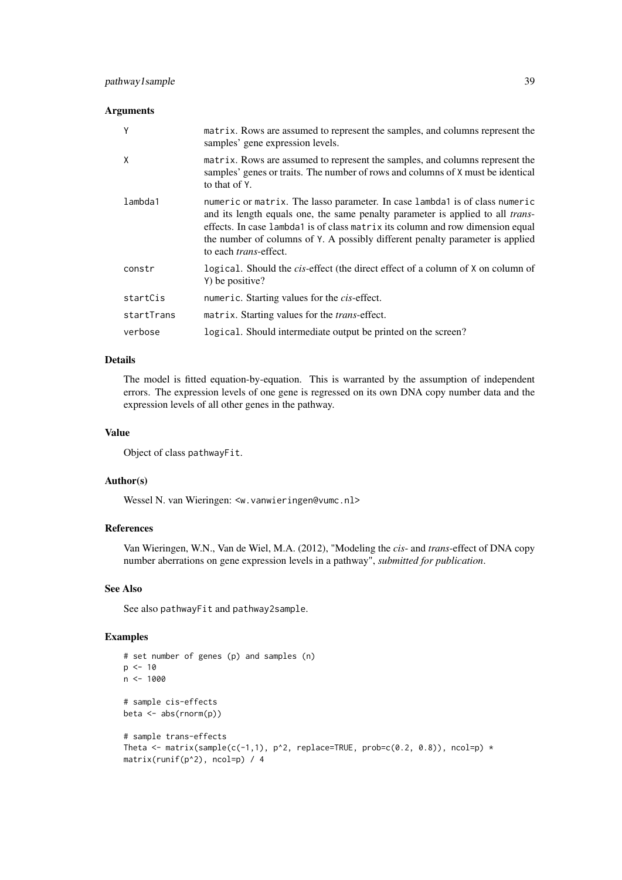## Arguments

| Y          | matrix. Rows are assumed to represent the samples, and columns represent the<br>samples' gene expression levels.                                                                                                                                                                                                                                                          |
|------------|---------------------------------------------------------------------------------------------------------------------------------------------------------------------------------------------------------------------------------------------------------------------------------------------------------------------------------------------------------------------------|
| X          | matrix. Rows are assumed to represent the samples, and columns represent the<br>samples' genes or traits. The number of rows and columns of X must be identical<br>to that of Y.                                                                                                                                                                                          |
| lambda1    | numeric or matrix. The lasso parameter. In case lambda1 is of class numeric<br>and its length equals one, the same penalty parameter is applied to all <i>trans</i> -<br>effects. In case lambda1 is of class matrix its column and row dimension equal<br>the number of columns of Y. A possibly different penalty parameter is applied<br>to each <i>trans</i> -effect. |
| constr     | logical. Should the <i>cis</i> -effect (the direct effect of a column of X on column of<br>Y) be positive?                                                                                                                                                                                                                                                                |
| startCis   | numeric. Starting values for the cis-effect.                                                                                                                                                                                                                                                                                                                              |
| startTrans | matrix. Starting values for the <i>trans</i> -effect.                                                                                                                                                                                                                                                                                                                     |
| verbose    | logical. Should intermediate output be printed on the screen?                                                                                                                                                                                                                                                                                                             |

#### Details

The model is fitted equation-by-equation. This is warranted by the assumption of independent errors. The expression levels of one gene is regressed on its own DNA copy number data and the expression levels of all other genes in the pathway.

#### Value

Object of class pathwayFit.

#### Author(s)

Wessel N. van Wieringen: <w. vanwieringen@vumc.nl>

## References

Van Wieringen, W.N., Van de Wiel, M.A. (2012), "Modeling the *cis*- and *trans*-effect of DNA copy number aberrations on gene expression levels in a pathway", *submitted for publication*.

#### See Also

See also pathwayFit and pathway2sample.

## Examples

```
# set number of genes (p) and samples (n)
p \le -10n <- 1000
# sample cis-effects
beta <- abs(rnorm(p))
# sample trans-effects
Theta \leq matrix(sample(c(-1,1), p^2, replace=TRUE, prob=c(0.2, 0.8)), ncol=p) \starmatrix(runif(p^2), ncol=p) / 4
```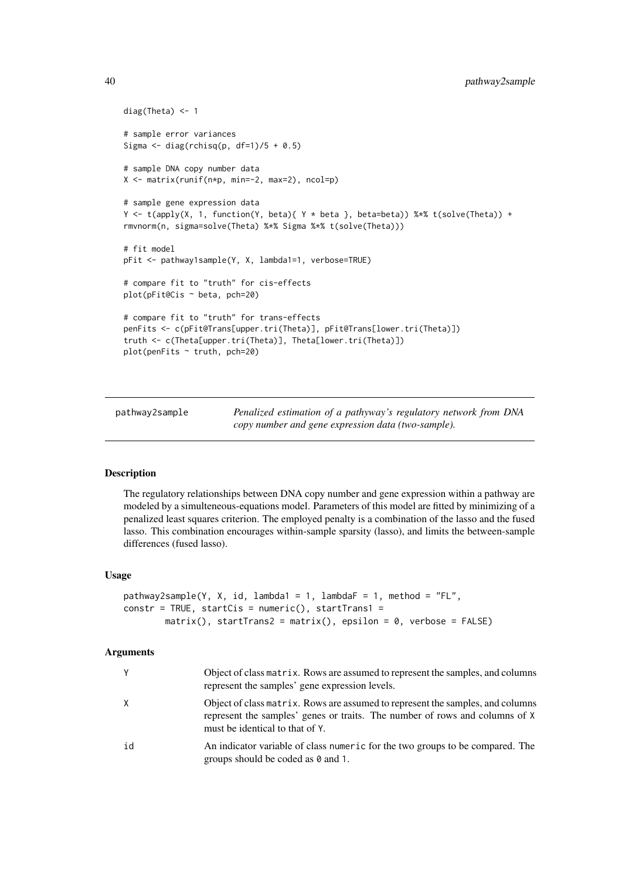```
diag(Theta) <- 1
# sample error variances
Sigma \le diag(rchisq(p, df=1)/5 + 0.5)
# sample DNA copy number data
X <- matrix(runif(n*p, min=-2, max=2), ncol=p)
# sample gene expression data
Y <- t(apply(X, 1, function(Y, beta){ Y * beta }, beta=beta)) %*% t(solve(Theta)) +
rmvnorm(n, sigma=solve(Theta) %*% Sigma %*% t(solve(Theta)))
# fit model
pFit <- pathway1sample(Y, X, lambda1=1, verbose=TRUE)
# compare fit to "truth" for cis-effects
plot(pFit@Cis ~ beta, pch=20)
# compare fit to "truth" for trans-effects
penFits <- c(pFit@Trans[upper.tri(Theta)], pFit@Trans[lower.tri(Theta)])
truth <- c(Theta[upper.tri(Theta)], Theta[lower.tri(Theta)])
plot(penFits ~ truth, pch=20)
```
pathway2sample *Penalized estimation of a pathyway's regulatory network from DNA copy number and gene expression data (two-sample).*

#### Description

The regulatory relationships between DNA copy number and gene expression within a pathway are modeled by a simulteneous-equations model. Parameters of this model are fitted by minimizing of a penalized least squares criterion. The employed penalty is a combination of the lasso and the fused lasso. This combination encourages within-sample sparsity (lasso), and limits the between-sample differences (fused lasso).

#### Usage

```
pathway2sample(Y, X, id, lambda1 = 1, lambdaF = 1, method = "FL",
constr = TRUE, startCis = numeric(), startTrans1 =
        matrix(), startTrans2 = matrix(), epsilon = 0, verbose = FALSE)
```
#### Arguments

| Υ  | Object of class matrix. Rows are assumed to represent the samples, and columns<br>represent the samples' gene expression levels.                                                                 |
|----|--------------------------------------------------------------------------------------------------------------------------------------------------------------------------------------------------|
| X  | Object of class matrix. Rows are assumed to represent the samples, and columns<br>represent the samples' genes or traits. The number of rows and columns of X<br>must be identical to that of Y. |
| id | An indicator variable of class numeric for the two groups to be compared. The<br>groups should be coded as 0 and 1.                                                                              |

<span id="page-39-0"></span>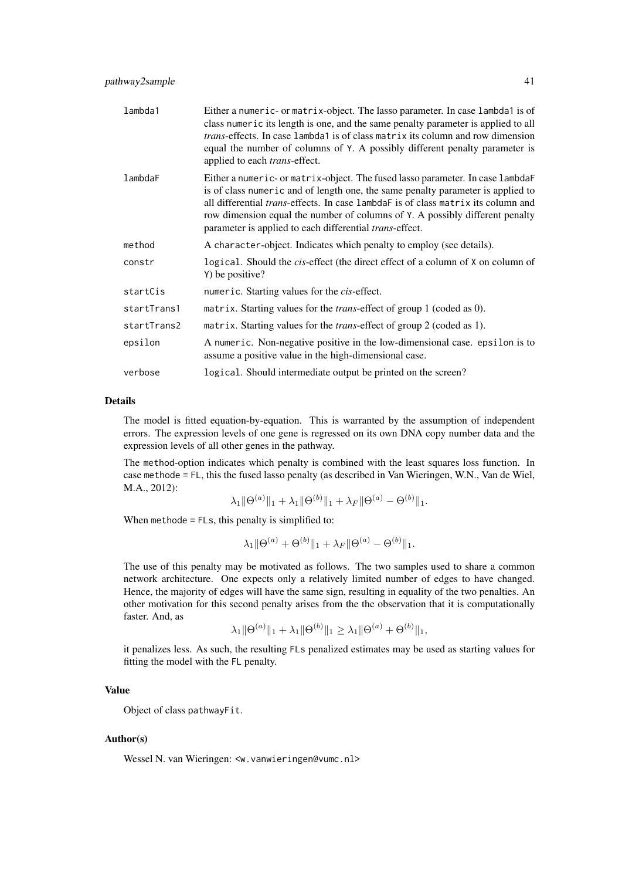| lambda1     | Either a numeric- or matrix-object. The lasso parameter. In case lambda1 is of<br>class numeric its length is one, and the same penalty parameter is applied to all<br>trans-effects. In case lambda1 is of class matrix its column and row dimension<br>equal the number of columns of Y. A possibly different penalty parameter is<br>applied to each <i>trans</i> -effect.                                       |
|-------------|---------------------------------------------------------------------------------------------------------------------------------------------------------------------------------------------------------------------------------------------------------------------------------------------------------------------------------------------------------------------------------------------------------------------|
| lambdaF     | Either a numeric- or matrix-object. The fused lasso parameter. In case lambdaF<br>is of class numeric and of length one, the same penalty parameter is applied to<br>all differential <i>trans</i> -effects. In case 1 ambda F is of class matrix its column and<br>row dimension equal the number of columns of Y. A possibly different penalty<br>parameter is applied to each differential <i>trans</i> -effect. |
| method      | A character-object. Indicates which penalty to employ (see details).                                                                                                                                                                                                                                                                                                                                                |
| constr      | logical. Should the <i>cis</i> -effect (the direct effect of a column of X on column of<br>Y) be positive?                                                                                                                                                                                                                                                                                                          |
| startCis    | numeric. Starting values for the <i>cis</i> -effect.                                                                                                                                                                                                                                                                                                                                                                |
| startTrans1 | matrix. Starting values for the <i>trans</i> -effect of group 1 (coded as 0).                                                                                                                                                                                                                                                                                                                                       |
| startTrans2 | matrix. Starting values for the <i>trans</i> -effect of group 2 (coded as 1).                                                                                                                                                                                                                                                                                                                                       |
| epsilon     | A numeric. Non-negative positive in the low-dimensional case, epsilon is to<br>assume a positive value in the high-dimensional case.                                                                                                                                                                                                                                                                                |
| verbose     | logical. Should intermediate output be printed on the screen?                                                                                                                                                                                                                                                                                                                                                       |

#### Details

The model is fitted equation-by-equation. This is warranted by the assumption of independent errors. The expression levels of one gene is regressed on its own DNA copy number data and the expression levels of all other genes in the pathway.

The method-option indicates which penalty is combined with the least squares loss function. In case methode = FL, this the fused lasso penalty (as described in Van Wieringen, W.N., Van de Wiel, M.A., 2012):  $\mathcal{L}(\mathbf{x})$  $\mathcal{L}(\mathbf{r})$  $\sim$ 

$$
\lambda_1 \|\Theta^{(a)}\|_1 + \lambda_1 \|\Theta^{(b)}\|_1 + \lambda_F \|\Theta^{(a)} - \Theta^{(b)}\|_1.
$$

When methode = FLs, this penalty is simplified to:

$$
\lambda_1 \|\Theta^{(a)} + \Theta^{(b)}\|_1 + \lambda_F \|\Theta^{(a)} - \Theta^{(b)}\|_1.
$$

The use of this penalty may be motivated as follows. The two samples used to share a common network architecture. One expects only a relatively limited number of edges to have changed. Hence, the majority of edges will have the same sign, resulting in equality of the two penalties. An other motivation for this second penalty arises from the the observation that it is computationally faster. And, as

$$
\lambda_1 \|\Theta^{(a)}\|_1 + \lambda_1 \|\Theta^{(b)}\|_1 \ge \lambda_1 \|\Theta^{(a)} + \Theta^{(b)}\|_1,
$$

it penalizes less. As such, the resulting FLs penalized estimates may be used as starting values for fitting the model with the FL penalty.

#### Value

Object of class pathwayFit.

#### Author(s)

Wessel N. van Wieringen: <w. vanwieringen@vumc.nl>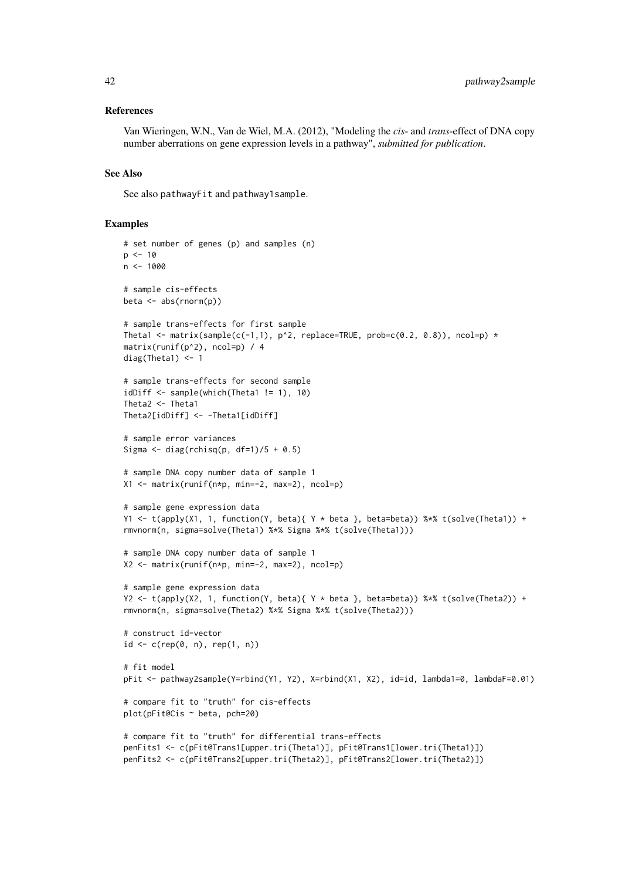#### References

Van Wieringen, W.N., Van de Wiel, M.A. (2012), "Modeling the *cis*- and *trans*-effect of DNA copy number aberrations on gene expression levels in a pathway", *submitted for publication*.

## See Also

See also pathwayFit and pathway1sample.

## Examples

```
# set number of genes (p) and samples (n)
p \le -10n <- 1000
# sample cis-effects
beta <- abs(rnorm(p))
# sample trans-effects for first sample
Theta1 <- matrix(sample(c(-1,1), p^2, replace=TRUE, prob=c(0.2, 0.8)), ncol=p) *
matrix(runif(p^2), ncol=p) / 4
diag(Theta1) <- 1
# sample trans-effects for second sample
idDiff <- sample(which(Theta1 != 1), 10)
Theta2 <- Theta1
Theta2[idDiff] <- -Theta1[idDiff]
# sample error variances
Sigma \leftarrow diag(rchisq(p, df=1)/5 + 0.5)
# sample DNA copy number data of sample 1
X1 <- matrix(runif(n*p, min=-2, max=2), ncol=p)
# sample gene expression data
Y1 <- t(apply(X1, 1, function(Y, beta){ Y * beta }, beta=beta)) %*% t(solve(Theta1)) +
rmvnorm(n, sigma=solve(Theta1) %*% Sigma %*% t(solve(Theta1)))
# sample DNA copy number data of sample 1
X2 <- matrix(runif(n*p, min=-2, max=2), ncol=p)
# sample gene expression data
Y2 <- t(apply(X2, 1, function(Y, beta){ Y * beta }, beta=beta)) %*% t(solve(Theta2)) +
rmvnorm(n, sigma=solve(Theta2) %*% Sigma %*% t(solve(Theta2)))
# construct id-vector
id \leq c(rep(0, n), rep(1, n))
# fit model
pFit <- pathway2sample(Y=rbind(Y1, Y2), X=rbind(X1, X2), id=id, lambda1=0, lambdaF=0.01)
# compare fit to "truth" for cis-effects
plot(pFit@Cis ~ beta, pch=20)
# compare fit to "truth" for differential trans-effects
penFits1 <- c(pFit@Trans1[upper.tri(Theta1)], pFit@Trans1[lower.tri(Theta1)])
penFits2 <- c(pFit@Trans2[upper.tri(Theta2)], pFit@Trans2[lower.tri(Theta2)])
```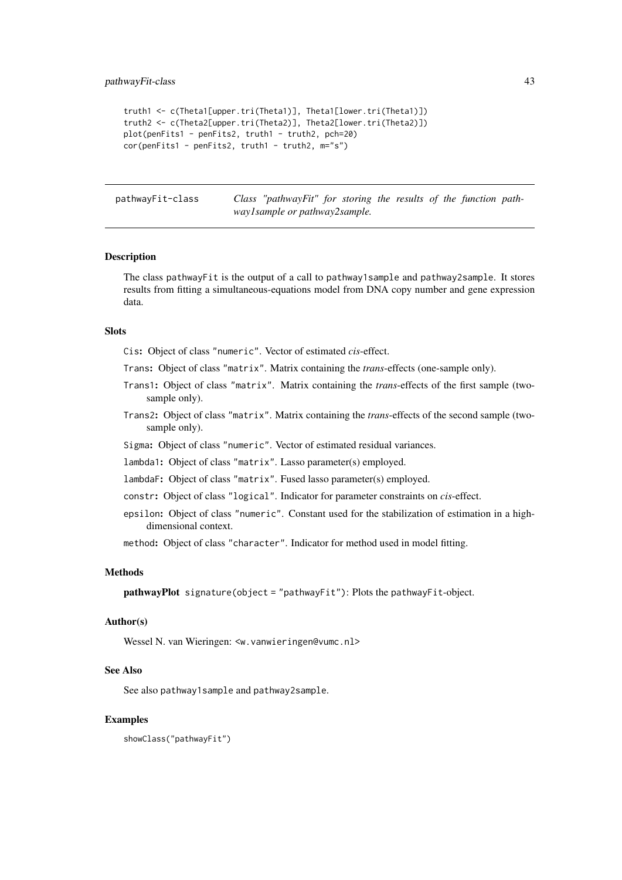<span id="page-42-0"></span>pathwayFit-class 43

```
truth1 <- c(Theta1[upper.tri(Theta1)], Theta1[lower.tri(Theta1)])
truth2 <- c(Theta2[upper.tri(Theta2)], Theta2[lower.tri(Theta2)])
plot(penFits1 - penFits2, truth1 - truth2, pch=20)
cor(penFits1 - penFits2, truth1 - truth2, m="s")
```
pathwayFit-class *Class "pathwayFit" for storing the results of the function pathway1sample or pathway2sample.*

#### Description

The class pathwayFit is the output of a call to pathway1sample and pathway2sample. It stores results from fitting a simultaneous-equations model from DNA copy number and gene expression data.

#### **Slots**

Cis: Object of class "numeric". Vector of estimated *cis*-effect.

- Trans: Object of class "matrix". Matrix containing the *trans*-effects (one-sample only).
- Trans1: Object of class "matrix". Matrix containing the *trans*-effects of the first sample (twosample only).
- Trans2: Object of class "matrix". Matrix containing the *trans*-effects of the second sample (twosample only).
- Sigma: Object of class "numeric". Vector of estimated residual variances.
- lambda1: Object of class "matrix". Lasso parameter(s) employed.
- lambdaF: Object of class "matrix". Fused lasso parameter(s) employed.
- constr: Object of class "logical". Indicator for parameter constraints on *cis*-effect.
- epsilon: Object of class "numeric". Constant used for the stabilization of estimation in a highdimensional context.

method: Object of class "character". Indicator for method used in model fitting.

## Methods

```
pathwayPlot signature(object = "pathwayFit"): Plots the pathwayFit-object.
```
#### Author(s)

Wessel N. van Wieringen: <w.vanwieringen@vumc.nl>

#### See Also

See also pathway1sample and pathway2sample.

#### Examples

showClass("pathwayFit")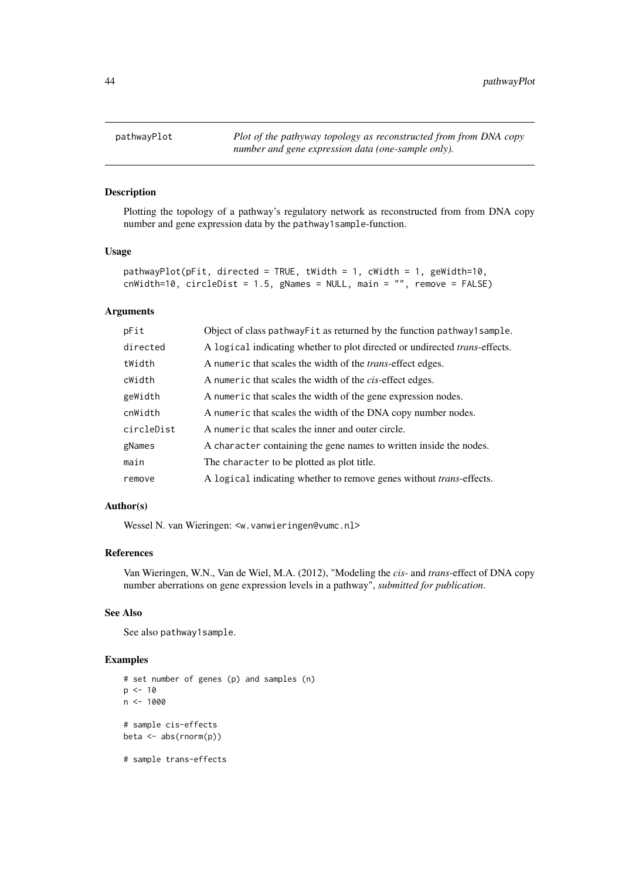<span id="page-43-0"></span>

#### Description

Plotting the topology of a pathway's regulatory network as reconstructed from from DNA copy number and gene expression data by the pathway1sample-function.

#### Usage

```
pathwayPlot(pFit, directed = TRUE, tWidth = 1, cWidth = 1, geWidth=10,
cnWidth=10, circleDist = 1.5, gNames = NULL, main = ''', remove = FALSE)
```
## Arguments

| pFit       | Object of class pathway Fit as returned by the function pathway 1 sample.          |
|------------|------------------------------------------------------------------------------------|
| directed   | A logical indicating whether to plot directed or undirected <i>trans</i> -effects. |
| tWidth     | A numeric that scales the width of the <i>trans</i> -effect edges.                 |
| cWidth     | A numeric that scales the width of the <i>cis</i> -effect edges.                   |
| geWidth    | A numeric that scales the width of the gene expression nodes.                      |
| cnWidth    | A numeric that scales the width of the DNA copy number nodes.                      |
| circleDist | A numeric that scales the inner and outer circle.                                  |
| gNames     | A character containing the gene names to written inside the nodes.                 |
| main       | The character to be plotted as plot title.                                         |
| remove     | A logical indicating whether to remove genes without <i>trans</i> -effects.        |

#### Author(s)

Wessel N. van Wieringen: <w.vanwieringen@vumc.nl>

#### References

Van Wieringen, W.N., Van de Wiel, M.A. (2012), "Modeling the *cis*- and *trans*-effect of DNA copy number aberrations on gene expression levels in a pathway", *submitted for publication*.

## See Also

See also pathway1sample.

#### Examples

```
# set number of genes (p) and samples (n)
p \le -10n < -1000# sample cis-effects
beta \leq - abs(rnorm(p))
# sample trans-effects
```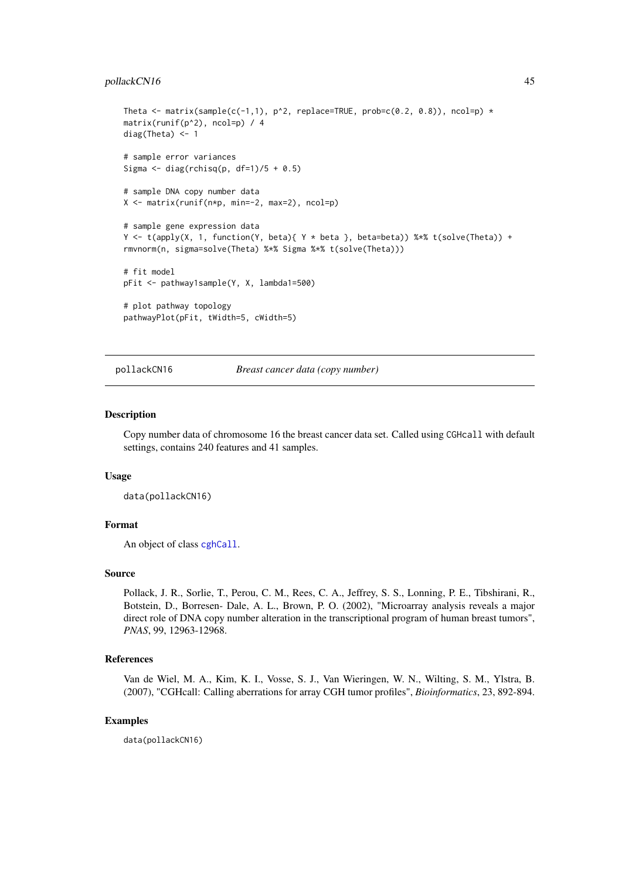#### <span id="page-44-0"></span>pollackCN16 45

```
Theta \leq matrix(sample(c(-1,1), p^2, replace=TRUE, prob=c(0.2, 0.8)), ncol=p) \starmatrix(runif(p^2), ncol=p) / 4
diag(Theta) <- 1
# sample error variances
Sigma \le diag(rchisq(p, df=1)/5 + 0.5)
# sample DNA copy number data
X <- matrix(runif(n*p, min=-2, max=2), ncol=p)
# sample gene expression data
Y <- t(apply(X, 1, function(Y, beta){ Y * beta }, beta=beta)) %*% t(solve(Theta)) +
rmvnorm(n, sigma=solve(Theta) %*% Sigma %*% t(solve(Theta)))
# fit model
pFit <- pathway1sample(Y, X, lambda1=500)
# plot pathway topology
pathwayPlot(pFit, tWidth=5, cWidth=5)
```
pollackCN16 *Breast cancer data (copy number)*

#### **Description**

Copy number data of chromosome 16 the breast cancer data set. Called using CGHcall with default settings, contains 240 features and 41 samples.

## Usage

data(pollackCN16)

#### Format

An object of class [cghCall](#page-0-0).

#### Source

Pollack, J. R., Sorlie, T., Perou, C. M., Rees, C. A., Jeffrey, S. S., Lonning, P. E., Tibshirani, R., Botstein, D., Borresen- Dale, A. L., Brown, P. O. (2002), "Microarray analysis reveals a major direct role of DNA copy number alteration in the transcriptional program of human breast tumors", *PNAS*, 99, 12963-12968.

#### References

Van de Wiel, M. A., Kim, K. I., Vosse, S. J., Van Wieringen, W. N., Wilting, S. M., Ylstra, B. (2007), "CGHcall: Calling aberrations for array CGH tumor profiles", *Bioinformatics*, 23, 892-894.

#### Examples

data(pollackCN16)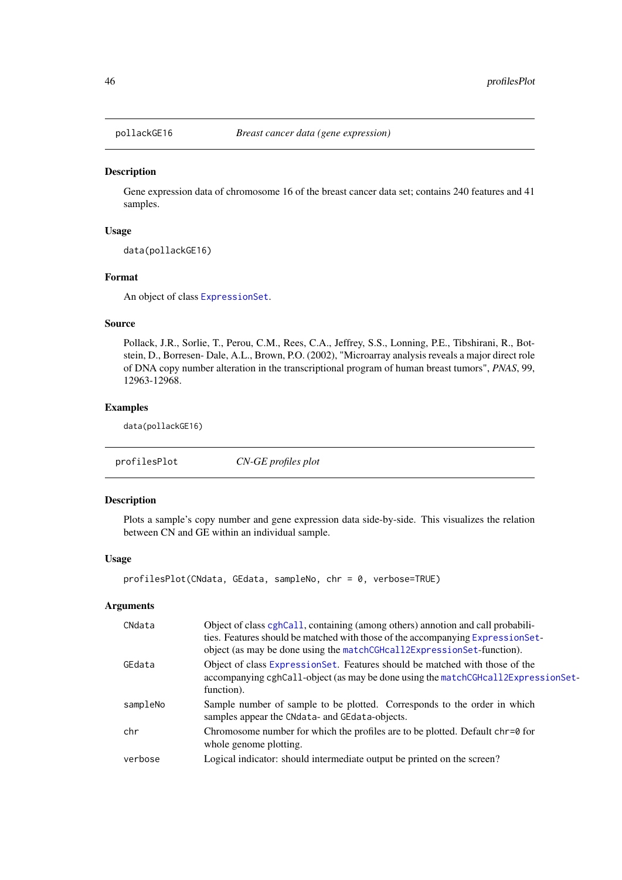<span id="page-45-0"></span>

#### Description

Gene expression data of chromosome 16 of the breast cancer data set; contains 240 features and 41 samples.

#### Usage

data(pollackGE16)

#### Format

An object of class [ExpressionSet](#page-0-0).

## Source

Pollack, J.R., Sorlie, T., Perou, C.M., Rees, C.A., Jeffrey, S.S., Lonning, P.E., Tibshirani, R., Botstein, D., Borresen- Dale, A.L., Brown, P.O. (2002), "Microarray analysis reveals a major direct role of DNA copy number alteration in the transcriptional program of human breast tumors", *PNAS*, 99, 12963-12968.

## Examples

data(pollackGE16)

profilesPlot *CN-GE profiles plot*

## Description

Plots a sample's copy number and gene expression data side-by-side. This visualizes the relation between CN and GE within an individual sample.

#### Usage

```
profilesPlot(CNdata, GEdata, sampleNo, chr = 0, verbose=TRUE)
```
## Arguments

| CNdata   | Object of class cghCall, containing (among others) annotion and call probabili-<br>ties. Features should be matched with those of the accompanying ExpressionSet-<br>object (as may be done using the matchCGHcall2ExpressionSet-function). |
|----------|---------------------------------------------------------------------------------------------------------------------------------------------------------------------------------------------------------------------------------------------|
| GEdata   | Object of class Expression Set. Features should be matched with those of the<br>accompanying cghCall-object (as may be done using the matchCGHcall2ExpressionSet-<br>function).                                                             |
| sampleNo | Sample number of sample to be plotted. Corresponds to the order in which<br>samples appear the CNdata- and GE data-objects.                                                                                                                 |
| chr      | Chromosome number for which the profiles are to be plotted. Default $chr = 0$ for<br>whole genome plotting.                                                                                                                                 |
| verbose  | Logical indicator: should intermediate output be printed on the screen?                                                                                                                                                                     |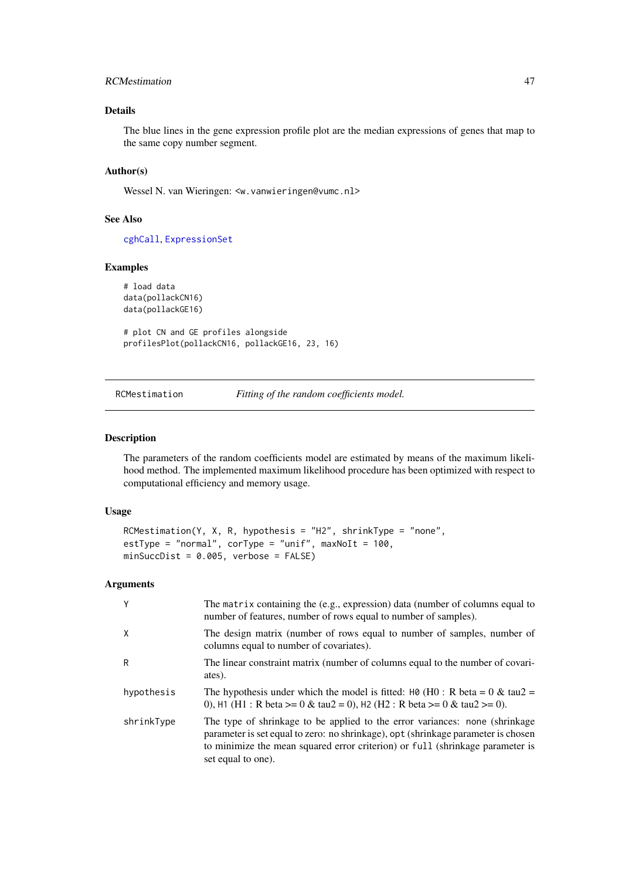#### <span id="page-46-0"></span>RCMestimation **47**

## Details

The blue lines in the gene expression profile plot are the median expressions of genes that map to the same copy number segment.

## Author(s)

Wessel N. van Wieringen: <w. vanwieringen@vumc.nl>

## See Also

[cghCall](#page-0-0), [ExpressionSet](#page-0-0)

## Examples

```
# load data
data(pollackCN16)
data(pollackGE16)
```
# plot CN and GE profiles alongside profilesPlot(pollackCN16, pollackGE16, 23, 16)

<span id="page-46-1"></span>

RCMestimation *Fitting of the random coefficients model.*

#### Description

The parameters of the random coefficients model are estimated by means of the maximum likelihood method. The implemented maximum likelihood procedure has been optimized with respect to computational efficiency and memory usage.

#### Usage

```
RCMestimation(Y, X, R, hypothesis = "H2", shrinkType = "none",
estType = "normal", corType = "unif", maxNoIt = 100,
minSuccDist = 0.005, verbose = FALSE)
```
## Arguments

| Y          | The matrix containing the (e.g., expression) data (number of columns equal to<br>number of features, number of rows equal to number of samples).                                                                                                                        |
|------------|-------------------------------------------------------------------------------------------------------------------------------------------------------------------------------------------------------------------------------------------------------------------------|
| X          | The design matrix (number of rows equal to number of samples, number of<br>columns equal to number of covariates).                                                                                                                                                      |
| R          | The linear constraint matrix (number of columns equal to the number of covari-<br>ates).                                                                                                                                                                                |
| hypothesis | The hypothesis under which the model is fitted: $H\omega$ (H0 : R beta = 0 & tau2 =<br>0), H1 (H1 : R beta >= 0 & tau2 = 0), H2 (H2 : R beta >= 0 & tau2 >= 0).                                                                                                         |
| shrinkType | The type of shrinkage to be applied to the error variances: none (shrinkage<br>parameter is set equal to zero: no shrinkage), opt (shrinkage parameter is chosen<br>to minimize the mean squared error criterion) or full (shrinkage parameter is<br>set equal to one). |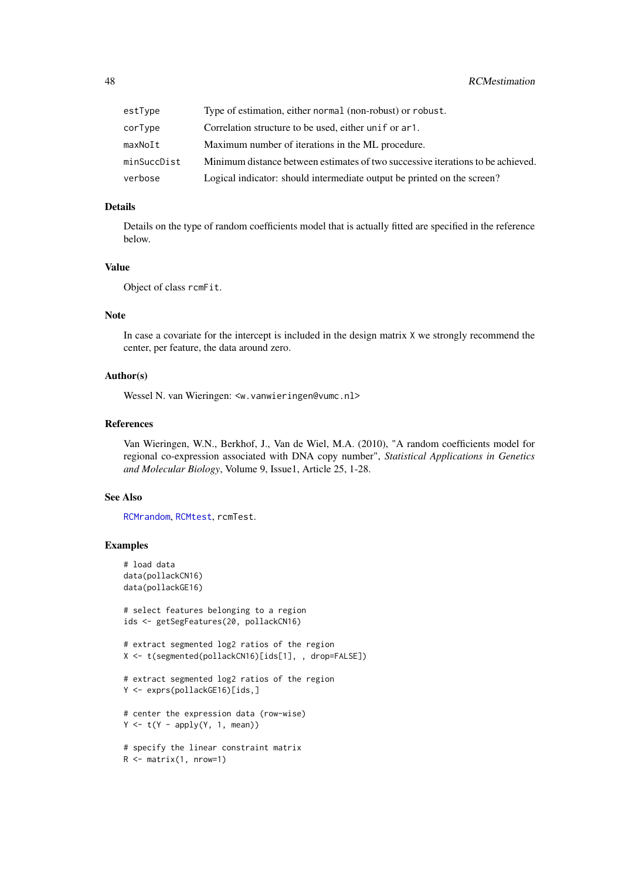<span id="page-47-0"></span>

| estType     | Type of estimation, either normal (non-robust) or robust.                       |
|-------------|---------------------------------------------------------------------------------|
| corType     | Correlation structure to be used, either unif or and.                           |
| maxNoIt     | Maximum number of iterations in the ML procedure.                               |
| minSuccDist | Minimum distance between estimates of two successive iterations to be achieved. |
| verbose     | Logical indicator: should intermediate output be printed on the screen?         |

## Details

Details on the type of random coefficients model that is actually fitted are specified in the reference below.

## Value

Object of class rcmFit.

## Note

In case a covariate for the intercept is included in the design matrix X we strongly recommend the center, per feature, the data around zero.

## Author(s)

Wessel N. van Wieringen: <w.vanwieringen@vumc.nl>

#### References

Van Wieringen, W.N., Berkhof, J., Van de Wiel, M.A. (2010), "A random coefficients model for regional co-expression associated with DNA copy number", *Statistical Applications in Genetics and Molecular Biology*, Volume 9, Issue1, Article 25, 1-28.

## See Also

[RCMrandom](#page-49-1), [RCMtest](#page-50-1), rcmTest.

## Examples

```
# load data
data(pollackCN16)
data(pollackGE16)
# select features belonging to a region
ids <- getSegFeatures(20, pollackCN16)
# extract segmented log2 ratios of the region
X <- t(segmented(pollackCN16)[ids[1], , drop=FALSE])
# extract segmented log2 ratios of the region
Y <- exprs(pollackGE16)[ids,]
# center the expression data (row-wise)
Y \leftarrow t(Y - apply(Y, 1, mean))# specify the linear constraint matrix
R <- matrix(1, nrow=1)
```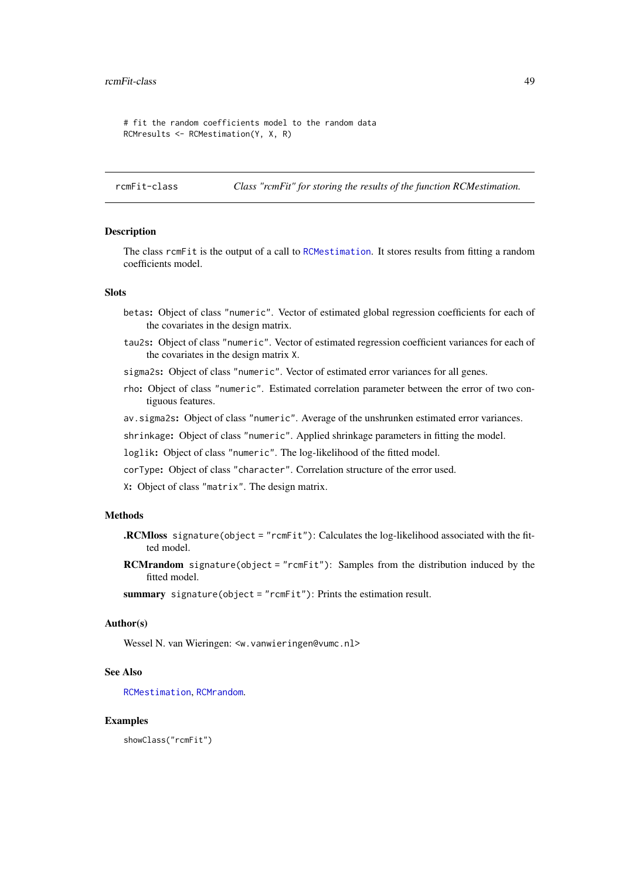```
# fit the random coefficients model to the random data
RCMresults <- RCMestimation(Y, X, R)
```

```
rcmFit-class Class "rcmFit" for storing the results of the function RCMestimation.
```
#### **Description**

The class rcmFit is the output of a call to [RCMestimation](#page-46-1). It stores results from fitting a random coefficients model.

#### Slots

- betas: Object of class "numeric". Vector of estimated global regression coefficients for each of the covariates in the design matrix.
- tau2s: Object of class "numeric". Vector of estimated regression coefficient variances for each of the covariates in the design matrix X.
- sigma2s: Object of class "numeric". Vector of estimated error variances for all genes.
- rho: Object of class "numeric". Estimated correlation parameter between the error of two contiguous features.
- av.sigma2s: Object of class "numeric". Average of the unshrunken estimated error variances.

shrinkage: Object of class "numeric". Applied shrinkage parameters in fitting the model.

- loglik: Object of class "numeric". The log-likelihood of the fitted model.
- corType: Object of class "character". Correlation structure of the error used.
- X: Object of class "matrix". The design matrix.

## Methods

- .RCMloss signature(object = "rcmFit"): Calculates the log-likelihood associated with the fitted model.
- RCMrandom signature(object = "rcmFit"): Samples from the distribution induced by the fitted model.
- summary signature(object = "rcmFit"): Prints the estimation result.

#### Author(s)

Wessel N. van Wieringen: <w.vanwieringen@vumc.nl>

## See Also

[RCMestimation](#page-46-1), [RCMrandom](#page-49-1).

#### Examples

showClass("rcmFit")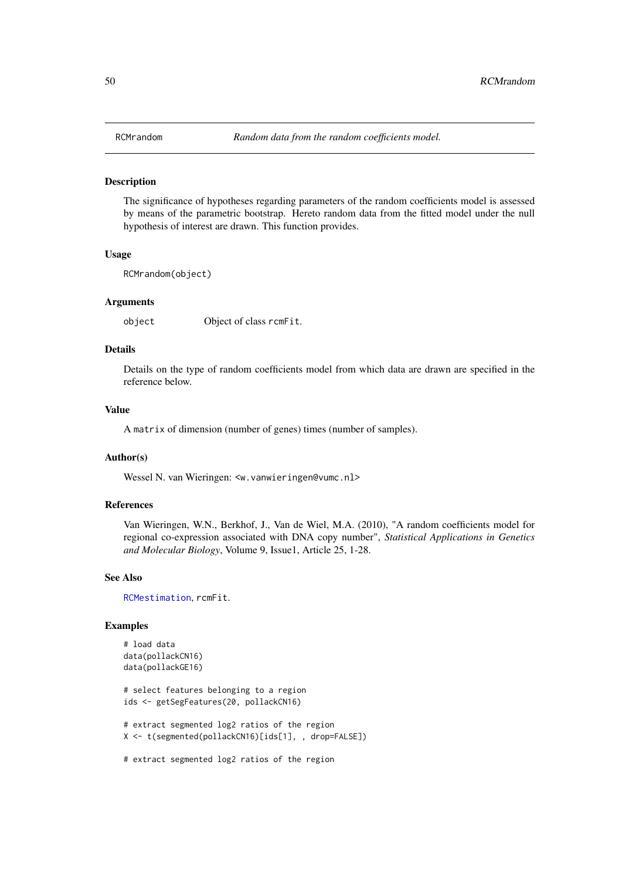<span id="page-49-1"></span><span id="page-49-0"></span>

#### Description

The significance of hypotheses regarding parameters of the random coefficients model is assessed by means of the parametric bootstrap. Hereto random data from the fitted model under the null hypothesis of interest are drawn. This function provides.

#### Usage

RCMrandom(object)

## Arguments

object Object of class rcmFit.

## Details

Details on the type of random coefficients model from which data are drawn are specified in the reference below.

## Value

A matrix of dimension (number of genes) times (number of samples).

#### Author(s)

Wessel N. van Wieringen: <w.vanwieringen@vumc.nl>

## References

Van Wieringen, W.N., Berkhof, J., Van de Wiel, M.A. (2010), "A random coefficients model for regional co-expression associated with DNA copy number", *Statistical Applications in Genetics and Molecular Biology*, Volume 9, Issue1, Article 25, 1-28.

## See Also

[RCMestimation](#page-46-1), rcmFit.

#### Examples

```
# load data
data(pollackCN16)
data(pollackGE16)
```
# select features belonging to a region ids <- getSegFeatures(20, pollackCN16)

# extract segmented log2 ratios of the region X <- t(segmented(pollackCN16)[ids[1], , drop=FALSE])

# extract segmented log2 ratios of the region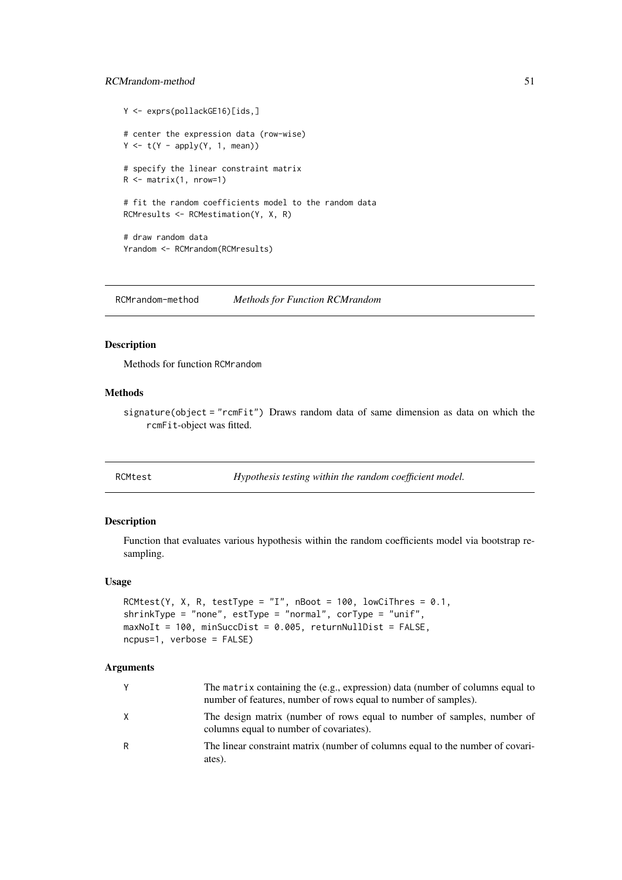#### <span id="page-50-0"></span>RCMrandom-method 51

```
Y <- exprs(pollackGE16)[ids,]
# center the expression data (row-wise)
Y \leftarrow t(Y - apply(Y, 1, mean))# specify the linear constraint matrix
R \leq - matrix(1, nrow=1)
# fit the random coefficients model to the random data
RCMresults <- RCMestimation(Y, X, R)
# draw random data
Yrandom <- RCMrandom(RCMresults)
```
RCMrandom-method *Methods for Function RCMrandom*

#### Description

Methods for function RCMrandom

#### Methods

signature(object = "rcmFit") Draws random data of same dimension as data on which the rcmFit-object was fitted.

<span id="page-50-1"></span>

 $Hypothesis$  *testing within the random coefficient model.* 

## Description

Function that evaluates various hypothesis within the random coefficients model via bootstrap resampling.

#### Usage

```
RCMtest(Y, X, R, testType = "I", nBoot = 100, lowCiThres = 0.1,
shrinkType = "none", estType = "normal", corType = "unif",
maxNot = 100, minSuccDist = 0.005, returnNullDist = FALSE,
ncpus=1, verbose = FALSE)
```
## Arguments

| Y | The matrix containing the (e.g., expression) data (number of columns equal to<br>number of features, number of rows equal to number of samples). |
|---|--------------------------------------------------------------------------------------------------------------------------------------------------|
| X | The design matrix (number of rows equal to number of samples, number of<br>columns equal to number of covariates).                               |
| R | The linear constraint matrix (number of columns equal to the number of covari-<br>ates).                                                         |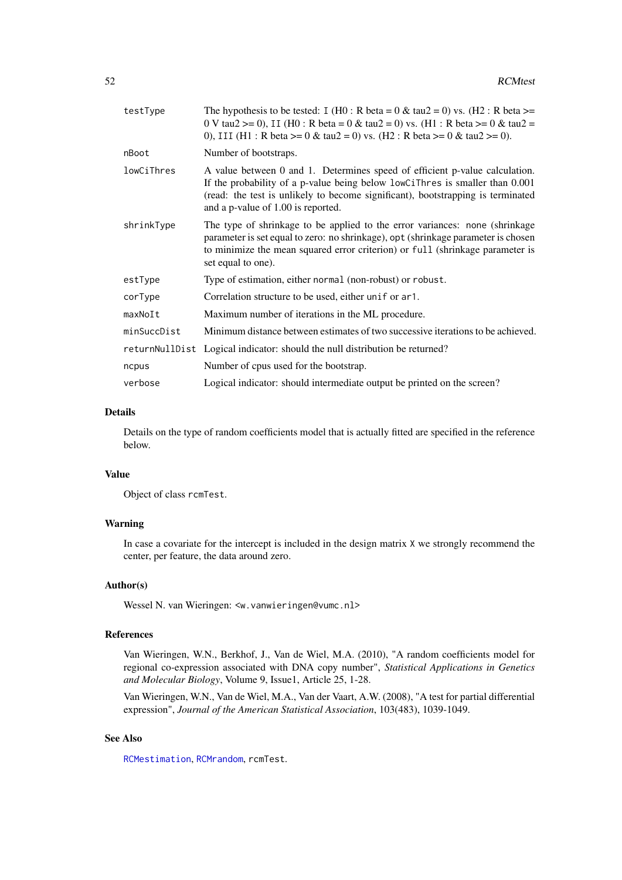<span id="page-51-0"></span>

| testType    | The hypothesis to be tested: I (H0 : R beta = $0 \& \text{tau2} = 0$ ) vs. (H2 : R beta >=<br>0 V tau2 >= 0), II (H0 : R beta = 0 & tau2 = 0) vs. (H1 : R beta >= 0 & tau2 =<br>0), III (H1 : R beta >= 0 & tau2 = 0) vs. (H2 : R beta >= 0 & tau2 >= 0).                            |
|-------------|--------------------------------------------------------------------------------------------------------------------------------------------------------------------------------------------------------------------------------------------------------------------------------------|
| nBoot       | Number of bootstraps.                                                                                                                                                                                                                                                                |
| lowCiThres  | A value between 0 and 1. Determines speed of efficient p-value calculation.<br>If the probability of a p-value being below lowCiThres is smaller than 0.001<br>(read: the test is unlikely to become significant), bootstrapping is terminated<br>and a p-value of 1.00 is reported. |
| shrinkType  | The type of shrinkage to be applied to the error variances: none (shrinkage)<br>parameter is set equal to zero: no shrinkage), opt (shrinkage parameter is chosen<br>to minimize the mean squared error criterion) or full (shrinkage parameter is<br>set equal to one).             |
| estType     | Type of estimation, either normal (non-robust) or robust.                                                                                                                                                                                                                            |
| corType     | Correlation structure to be used, either unif or ar1.                                                                                                                                                                                                                                |
| maxNoIt     | Maximum number of iterations in the ML procedure.                                                                                                                                                                                                                                    |
| minSuccDist | Minimum distance between estimates of two successive iterations to be achieved.                                                                                                                                                                                                      |
|             | returnNullDist Logical indicator: should the null distribution be returned?                                                                                                                                                                                                          |
| ncpus       | Number of cpus used for the bootstrap.                                                                                                                                                                                                                                               |
| verbose     | Logical indicator: should intermediate output be printed on the screen?                                                                                                                                                                                                              |

#### Details

Details on the type of random coefficients model that is actually fitted are specified in the reference below.

## Value

Object of class rcmTest.

## Warning

In case a covariate for the intercept is included in the design matrix X we strongly recommend the center, per feature, the data around zero.

## Author(s)

Wessel N. van Wieringen: <w. vanwieringen@vumc.nl>

## References

Van Wieringen, W.N., Berkhof, J., Van de Wiel, M.A. (2010), "A random coefficients model for regional co-expression associated with DNA copy number", *Statistical Applications in Genetics and Molecular Biology*, Volume 9, Issue1, Article 25, 1-28.

Van Wieringen, W.N., Van de Wiel, M.A., Van der Vaart, A.W. (2008), "A test for partial differential expression", *Journal of the American Statistical Association*, 103(483), 1039-1049.

## See Also

[RCMestimation](#page-46-1), [RCMrandom](#page-49-1), rcmTest.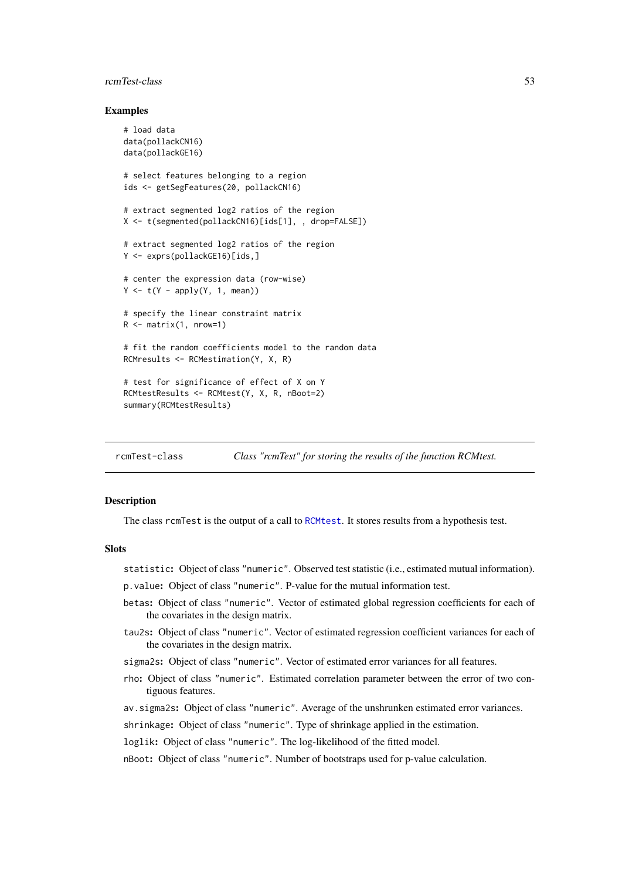#### <span id="page-52-0"></span>rcmTest-class 53

#### Examples

```
# load data
data(pollackCN16)
data(pollackGE16)
# select features belonging to a region
ids <- getSegFeatures(20, pollackCN16)
# extract segmented log2 ratios of the region
X <- t(segmented(pollackCN16)[ids[1], , drop=FALSE])
# extract segmented log2 ratios of the region
Y <- exprs(pollackGE16)[ids,]
# center the expression data (row-wise)
Y \leftarrow t(Y - apply(Y, 1, mean))# specify the linear constraint matrix
R \leq - matrix(1, nrow=1)
# fit the random coefficients model to the random data
RCMresults <- RCMestimation(Y, X, R)
# test for significance of effect of X on Y
RCMtestResults <- RCMtest(Y, X, R, nBoot=2)
summary(RCMtestResults)
```
rcmTest-class *Class "rcmTest" for storing the results of the function RCMtest.*

## Description

The class rcmTest is the output of a call to [RCMtest](#page-50-1). It stores results from a hypothesis test.

#### Slots

- statistic: Object of class "numeric". Observed test statistic (i.e., estimated mutual information).
- p.value: Object of class "numeric". P-value for the mutual information test.
- betas: Object of class "numeric". Vector of estimated global regression coefficients for each of the covariates in the design matrix.
- tau2s: Object of class "numeric". Vector of estimated regression coefficient variances for each of the covariates in the design matrix.
- sigma2s: Object of class "numeric". Vector of estimated error variances for all features.
- rho: Object of class "numeric". Estimated correlation parameter between the error of two contiguous features.
- av.sigma2s: Object of class "numeric". Average of the unshrunken estimated error variances.

shrinkage: Object of class "numeric". Type of shrinkage applied in the estimation.

loglik: Object of class "numeric". The log-likelihood of the fitted model.

nBoot: Object of class "numeric". Number of bootstraps used for p-value calculation.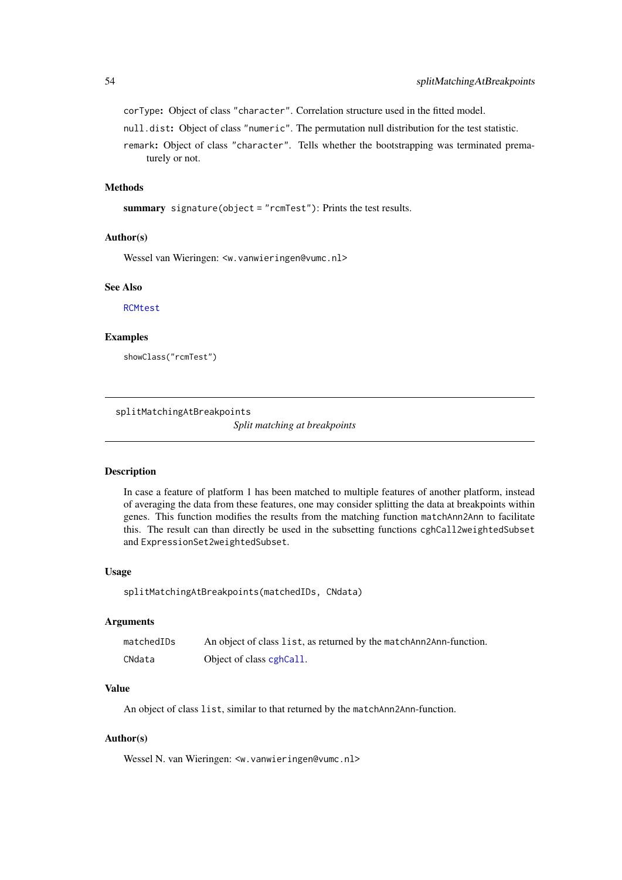corType: Object of class "character". Correlation structure used in the fitted model.

null.dist: Object of class "numeric". The permutation null distribution for the test statistic.

remark: Object of class "character". Tells whether the bootstrapping was terminated prematurely or not.

## Methods

summary signature(object = "rcmTest"): Prints the test results.

#### Author(s)

Wessel van Wieringen: <w.vanwieringen@vumc.nl>

#### See Also

**[RCMtest](#page-50-1)** 

## Examples

showClass("rcmTest")

splitMatchingAtBreakpoints

*Split matching at breakpoints*

#### Description

In case a feature of platform 1 has been matched to multiple features of another platform, instead of averaging the data from these features, one may consider splitting the data at breakpoints within genes. This function modifies the results from the matching function matchAnn2Ann to facilitate this. The result can than directly be used in the subsetting functions cghCall2weightedSubset and ExpressionSet2weightedSubset.

#### Usage

splitMatchingAtBreakpoints(matchedIDs, CNdata)

#### Arguments

| matchedIDs | An object of class list, as returned by the matchAnn2Ann-function. |
|------------|--------------------------------------------------------------------|
| CNdata     | Object of class cghCall.                                           |

## Value

An object of class list, similar to that returned by the matchAnn2Ann-function.

#### Author(s)

Wessel N. van Wieringen: <w. vanwieringen@vumc.nl>

<span id="page-53-0"></span>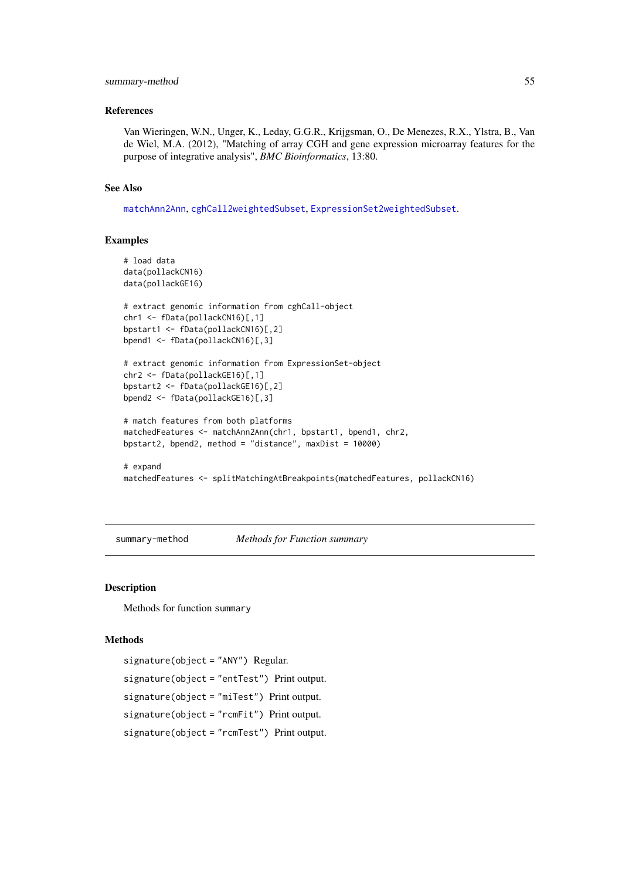#### <span id="page-54-0"></span>summary-method 55

#### References

Van Wieringen, W.N., Unger, K., Leday, G.G.R., Krijgsman, O., De Menezes, R.X., Ylstra, B., Van de Wiel, M.A. (2012), "Matching of array CGH and gene expression microarray features for the purpose of integrative analysis", *BMC Bioinformatics*, 13:80.

## See Also

[matchAnn2Ann](#page-27-1), [cghCall2weightedSubset](#page-7-1), [ExpressionSet2weightedSubset](#page-23-1).

#### Examples

```
# load data
data(pollackCN16)
data(pollackGE16)
# extract genomic information from cghCall-object
chr1 <- fData(pollackCN16)[,1]
bpstart1 <- fData(pollackCN16)[,2]
bpend1 <- fData(pollackCN16)[,3]
# extract genomic information from ExpressionSet-object
chr2 <- fData(pollackGE16)[,1]
bpstart2 <- fData(pollackGE16)[,2]
bpend2 <- fData(pollackGE16)[,3]
# match features from both platforms
matchedFeatures <- matchAnn2Ann(chr1, bpstart1, bpend1, chr2,
bpstart2, bpend2, method = "distance", maxDist = 10000)
# expand
matchedFeatures <- splitMatchingAtBreakpoints(matchedFeatures, pollackCN16)
```
summary-method *Methods for Function summary*

## Description

Methods for function summary

## Methods

```
signature(object = "ANY") Regular.
signature(object = "entTest") Print output.
signature(object = "miTest") Print output.
signature(object = "rcmFit") Print output.
signature(object = "rcmTest") Print output.
```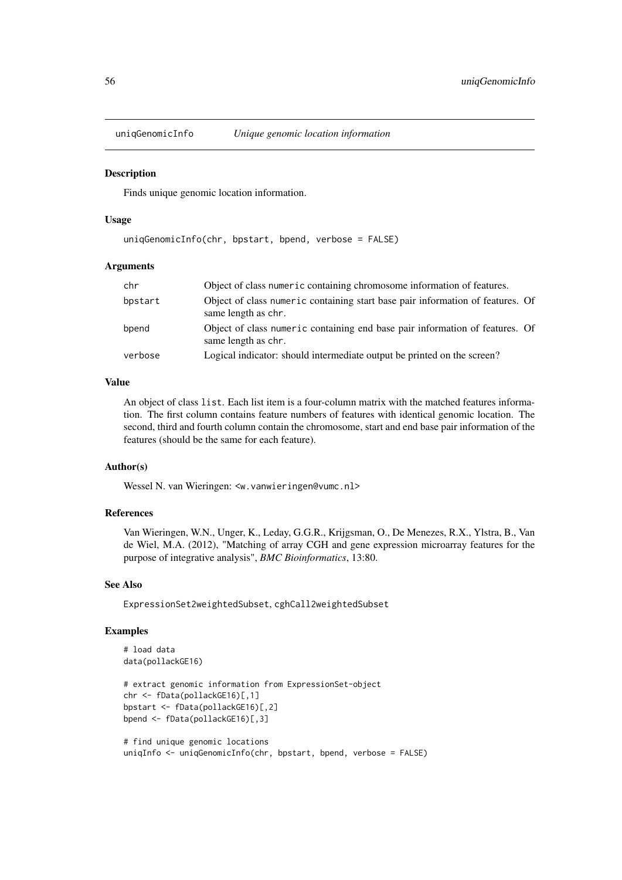<span id="page-55-0"></span>

#### Description

Finds unique genomic location information.

#### Usage

```
uniqGenomicInfo(chr, bpstart, bpend, verbose = FALSE)
```
#### Arguments

| chr     | Object of class numeric containing chromosome information of features.                                |  |
|---------|-------------------------------------------------------------------------------------------------------|--|
| bpstart | Object of class numeric containing start base pair information of features. Of<br>same length as chr. |  |
| bpend   | Object of class numeric containing end base pair information of features. Of<br>same length as chr.   |  |
| verbose | Logical indicator: should intermediate output be printed on the screen?                               |  |

## Value

An object of class list. Each list item is a four-column matrix with the matched features information. The first column contains feature numbers of features with identical genomic location. The second, third and fourth column contain the chromosome, start and end base pair information of the features (should be the same for each feature).

## Author(s)

Wessel N. van Wieringen: <w. vanwieringen@vumc.nl>

#### References

Van Wieringen, W.N., Unger, K., Leday, G.G.R., Krijgsman, O., De Menezes, R.X., Ylstra, B., Van de Wiel, M.A. (2012), "Matching of array CGH and gene expression microarray features for the purpose of integrative analysis", *BMC Bioinformatics*, 13:80.

## See Also

ExpressionSet2weightedSubset, cghCall2weightedSubset

#### Examples

```
# load data
data(pollackGE16)
```

```
# extract genomic information from ExpressionSet-object
chr <- fData(pollackGE16)[,1]
bpstart <- fData(pollackGE16)[,2]
bpend <- fData(pollackGE16)[,3]
```

```
# find unique genomic locations
uniqInfo <- uniqGenomicInfo(chr, bpstart, bpend, verbose = FALSE)
```